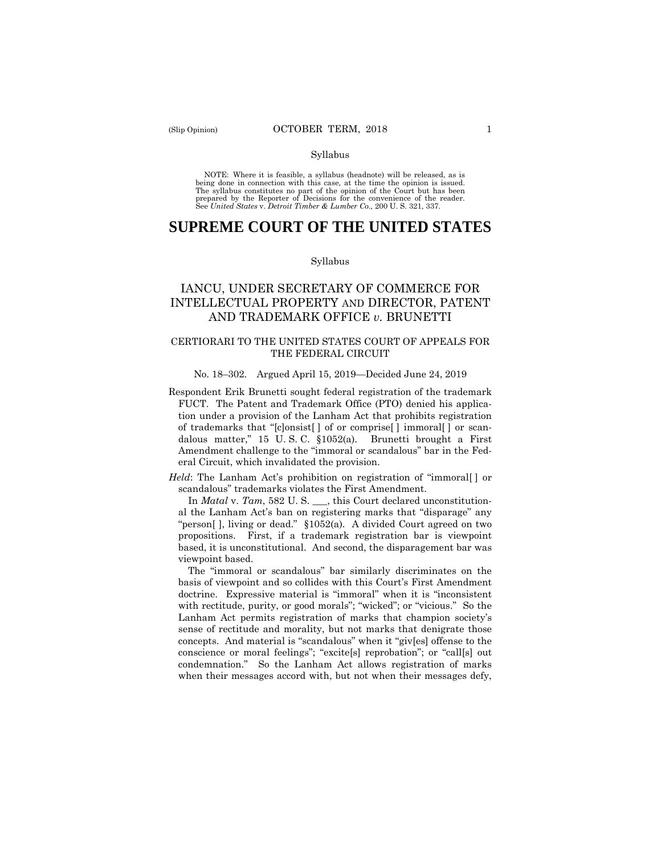#### Syllabus

 NOTE: Where it is feasible, a syllabus (headnote) will be released, as is being done in connection with this case, at the time the opinion is issued. The syllabus constitutes no part of the opinion of the Court but has been<br>prepared by the Reporter of Decisions for the convenience of the reader.<br>See United States v. Detroit Timber & Lumber Co., 200 U.S. 321, 337.

# **SUPREME COURT OF THE UNITED STATES**

#### Syllabus

# IANCU, UNDER SECRETARY OF COMMERCE FOR INTELLECTUAL PROPERTY AND DIRECTOR, PATENT AND TRADEMARK OFFICE *v.* BRUNETTI

## CERTIORARI TO THE UNITED STATES COURT OF APPEALS FOR THE FEDERAL CIRCUIT

#### No. 18–302. Argued April 15, 2019—Decided June 24, 2019

Respondent Erik Brunetti sought federal registration of the trademark FUCT. The Patent and Trademark Office (PTO) denied his application under a provision of the Lanham Act that prohibits registration of trademarks that "[c]onsist[ ] of or comprise[ ] immoral[ ] or scandalous matter," 15 U. S. C. §1052(a). Brunetti brought a First Amendment challenge to the "immoral or scandalous" bar in the Federal Circuit, which invalidated the provision.

*Held*: The Lanham Act's prohibition on registration of "immoral[ ] or scandalous" trademarks violates the First Amendment.

In *Matal* v. *Tam*, 582 U.S. this Court declared unconstitutional the Lanham Act's ban on registering marks that "disparage" any "person[ ], living or dead." §1052(a). A divided Court agreed on two propositions. First, if a trademark registration bar is viewpoint based, it is unconstitutional. And second, the disparagement bar was viewpoint based.

The "immoral or scandalous" bar similarly discriminates on the basis of viewpoint and so collides with this Court's First Amendment doctrine. Expressive material is "immoral" when it is "inconsistent with rectitude, purity, or good morals"; "wicked"; or "vicious." So the Lanham Act permits registration of marks that champion society's sense of rectitude and morality, but not marks that denigrate those concepts. And material is "scandalous" when it "giv[es] offense to the conscience or moral feelings"; "excite[s] reprobation"; or "call[s] out condemnation." So the Lanham Act allows registration of marks when their messages accord with, but not when their messages defy,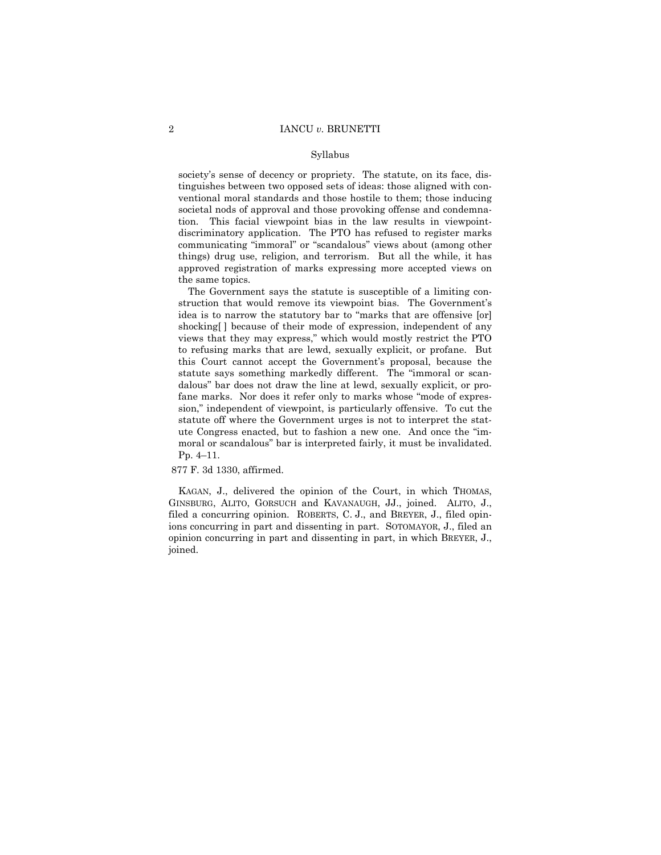#### Syllabus

society's sense of decency or propriety. The statute, on its face, distinguishes between two opposed sets of ideas: those aligned with conventional moral standards and those hostile to them; those inducing societal nods of approval and those provoking offense and condemnation. This facial viewpoint bias in the law results in viewpointdiscriminatory application. The PTO has refused to register marks communicating "immoral" or "scandalous" views about (among other things) drug use, religion, and terrorism. But all the while, it has approved registration of marks expressing more accepted views on the same topics.

 fane marks. Nor does it refer only to marks whose "mode of expres- moral or scandalous" bar is interpreted fairly, it must be invalidated. The Government says the statute is susceptible of a limiting construction that would remove its viewpoint bias. The Government's idea is to narrow the statutory bar to "marks that are offensive [or] shocking[] because of their mode of expression, independent of any views that they may express," which would mostly restrict the PTO to refusing marks that are lewd, sexually explicit, or profane. But this Court cannot accept the Government's proposal, because the statute says something markedly different. The "immoral or scandalous" bar does not draw the line at lewd, sexually explicit, or prosion," independent of viewpoint, is particularly offensive. To cut the statute off where the Government urges is not to interpret the statute Congress enacted, but to fashion a new one. And once the "im-Pp. 4–11.

877 F. 3d 1330, affirmed.

KAGAN, J., delivered the opinion of the Court, in which THOMAS, GINSBURG, ALITO, GORSUCH and KAVANAUGH, JJ., joined. ALITO, J., filed a concurring opinion. ROBERTS, C. J., and BREYER, J., filed opinions concurring in part and dissenting in part. SOTOMAYOR, J., filed an opinion concurring in part and dissenting in part, in which BREYER, J., joined.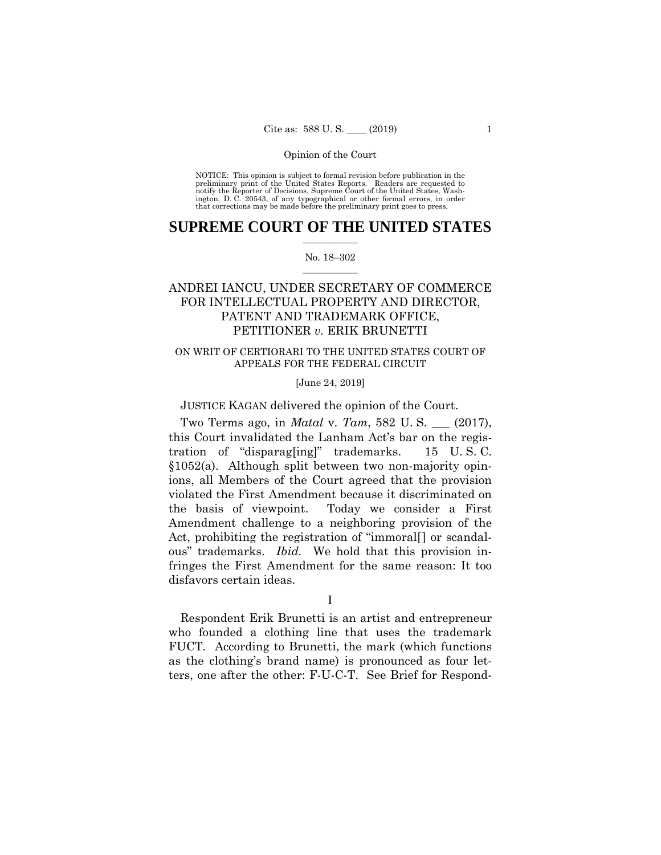preliminary print of the United States Reports. Readers are requested to notify the Reporter of Decisions, Supreme Court of the United States, Wash- ington, D. C. 20543, of any typographical or other formal errors, in order that corrections may be made before the preliminary print goes to press. NOTICE: This opinion is subject to formal revision before publication in the

## $\frac{1}{2}$  , where  $\frac{1}{2}$ **SUPREME COURT OF THE UNITED STATES**

#### $\frac{1}{2}$  ,  $\frac{1}{2}$  ,  $\frac{1}{2}$  ,  $\frac{1}{2}$  ,  $\frac{1}{2}$  ,  $\frac{1}{2}$ No. 18–302

# PATENT AND TRADEMARK OFFICE, ANDREI IANCU, UNDER SECRETARY OF COMMERCE FOR INTELLECTUAL PROPERTY AND DIRECTOR, PETITIONER *v.* ERIK BRUNETTI

# ON WRIT OF CERTIORARI TO THE UNITED STATES COURT OF APPEALS FOR THE FEDERAL CIRCUIT

## [June 24, 2019]

JUSTICE KAGAN delivered the opinion of the Court.

Two Terms ago, in *Matal* v. *Tam*, 582 U. S. \_\_\_ (2017), this Court invalidated the Lanham Act's bar on the registration of "disparag[ing]" trademarks. 15 U. S. C. §1052(a). Although split between two non-majority opinions, all Members of the Court agreed that the provision violated the First Amendment because it discriminated on the basis of viewpoint. Today we consider a First Amendment challenge to a neighboring provision of the Act, prohibiting the registration of "immoral<sup>[]</sup> or scandalous" trademarks. *Ibid.* We hold that this provision infringes the First Amendment for the same reason: It too disfavors certain ideas.

I

Respondent Erik Brunetti is an artist and entrepreneur who founded a clothing line that uses the trademark FUCT. According to Brunetti, the mark (which functions as the clothing's brand name) is pronounced as four letters, one after the other: F-U-C-T. See Brief for Respond-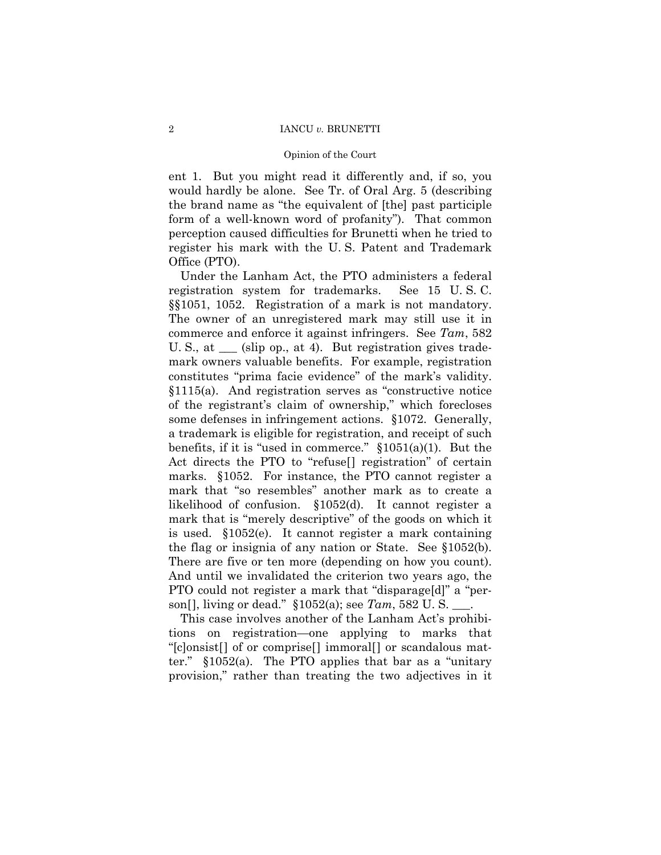ent 1. But you might read it differently and, if so, you would hardly be alone. See Tr. of Oral Arg. 5 (describing the brand name as "the equivalent of [the] past participle form of a well-known word of profanity"). That common perception caused difficulties for Brunetti when he tried to register his mark with the U. S. Patent and Trademark Office (PTO).

 the flag or insignia of any nation or State. See §1052(b). Under the Lanham Act, the PTO administers a federal registration system for trademarks. See 15 U. S. C. §§1051, 1052. Registration of a mark is not mandatory. The owner of an unregistered mark may still use it in commerce and enforce it against infringers. See *Tam*, 582 U. S., at  $\equiv$  (slip op., at 4). But registration gives trademark owners valuable benefits. For example, registration constitutes "prima facie evidence" of the mark's validity. §1115(a). And registration serves as "constructive notice of the registrant's claim of ownership," which forecloses some defenses in infringement actions. §1072. Generally, a trademark is eligible for registration, and receipt of such benefits, if it is "used in commerce."  $$1051(a)(1)$ . But the Act directs the PTO to "refuse[] registration" of certain marks. §1052. For instance, the PTO cannot register a mark that "so resembles" another mark as to create a likelihood of confusion. §1052(d). It cannot register a mark that is "merely descriptive" of the goods on which it is used. §1052(e). It cannot register a mark containing There are five or ten more (depending on how you count). And until we invalidated the criterion two years ago, the PTO could not register a mark that "disparage[d]" a "person[], living or dead." §1052(a); see *Tam*, 582 U. S. \_\_\_.

This case involves another of the Lanham Act's prohibitions on registration—one applying to marks that "[c]onsist[] of or comprise[] immoral[] or scandalous matter." §1052(a). The PTO applies that bar as a "unitary provision," rather than treating the two adjectives in it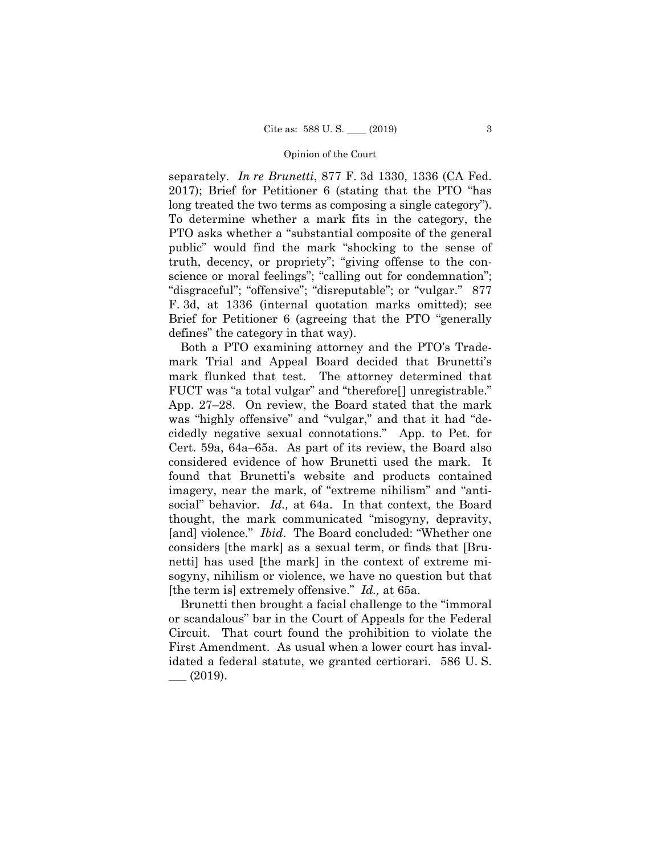long treated the two terms as composing a single category"). separately. *In re Brunetti*, 877 F. 3d 1330, 1336 (CA Fed. 2017); Brief for Petitioner 6 (stating that the PTO "has To determine whether a mark fits in the category, the PTO asks whether a "substantial composite of the general public" would find the mark "shocking to the sense of truth, decency, or propriety"; "giving offense to the conscience or moral feelings"; "calling out for condemnation"; "disgraceful"; "offensive"; "disreputable"; or "vulgar." 877 F. 3d, at 1336 (internal quotation marks omitted); see Brief for Petitioner 6 (agreeing that the PTO "generally defines" the category in that way).

Both a PTO examining attorney and the PTO's Trademark Trial and Appeal Board decided that Brunetti's mark flunked that test. The attorney determined that FUCT was "a total vulgar" and "therefore[] unregistrable." App. 27–28. On review, the Board stated that the mark was "highly offensive" and "vulgar," and that it had "decidedly negative sexual connotations." App. to Pet. for Cert. 59a, 64a–65a. As part of its review, the Board also considered evidence of how Brunetti used the mark. It found that Brunetti's website and products contained imagery, near the mark, of "extreme nihilism" and "antisocial" behavior. *Id.,* at 64a. In that context, the Board thought, the mark communicated "misogyny, depravity, [and] violence." *Ibid*. The Board concluded: "Whether one considers [the mark] as a sexual term, or finds that [Brunetti] has used [the mark] in the context of extreme misogyny, nihilism or violence, we have no question but that [the term is] extremely offensive." *Id.,* at 65a.

Brunetti then brought a facial challenge to the "immoral or scandalous" bar in the Court of Appeals for the Federal Circuit. That court found the prohibition to violate the First Amendment. As usual when a lower court has invalidated a federal statute, we granted certiorari. 586 U. S.  $-$  (2019).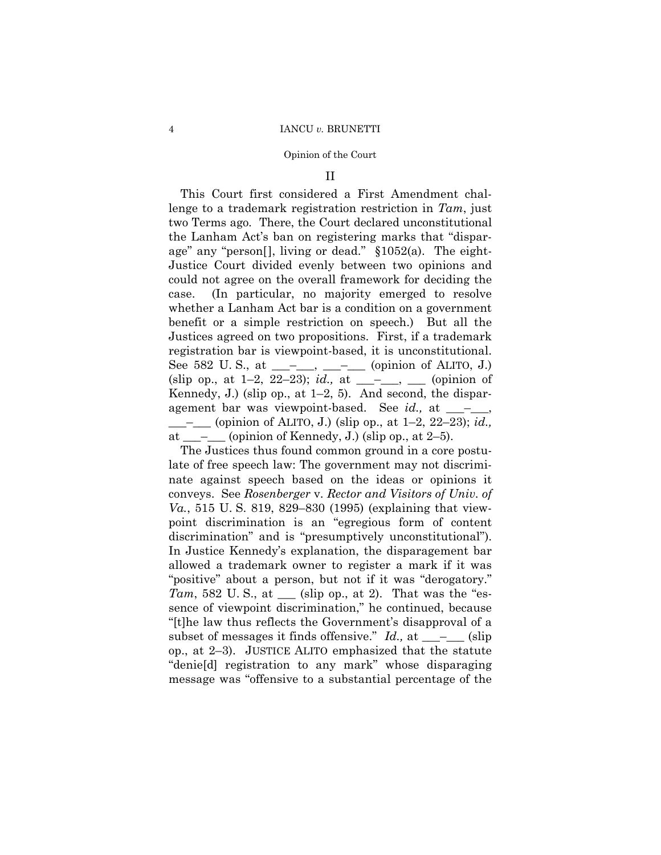#### II

This Court first considered a First Amendment challenge to a trademark registration restriction in *Tam*, just two Terms ago. There, the Court declared unconstitutional the Lanham Act's ban on registering marks that "disparage" any "person[], living or dead." §1052(a). The eight-Justice Court divided evenly between two opinions and could not agree on the overall framework for deciding the case. (In particular, no majority emerged to resolve whether a Lanham Act bar is a condition on a government benefit or a simple restriction on speech.) But all the Justices agreed on two propositions. First, if a trademark registration bar is viewpoint-based, it is unconstitutional. See 582 U.S., at \_\_\_\_, \_\_\_\_ (opinion of ALITO, J.) (slip op., at 1–2, 22–23); *id.*, at  $\_\_$ –<sub>\_\_</sub>,  $\_\_$  (opinion of Kennedy, J.) (slip op., at  $1-2$ , 5). And second, the disparagement bar was viewpoint-based. See *id.*, at \_\_\_\_ \_\_\_–\_\_\_ (opinion of ALITO, J.) (slip op., at 1–2, 22–23); *id.,*  at  $\_\_\_\_\_$  (opinion of Kennedy, J.) (slip op., at 2–5).

The Justices thus found common ground in a core postulate of free speech law: The government may not discriminate against speech based on the ideas or opinions it conveys. See *Rosenberger* v. *Rector and Visitors of Univ. of Va.*, 515 U. S. 819, 829–830 (1995) (explaining that viewpoint discrimination is an "egregious form of content discrimination" and is "presumptively unconstitutional"). In Justice Kennedy's explanation, the disparagement bar allowed a trademark owner to register a mark if it was "positive" about a person, but not if it was "derogatory." *Tam*, 582 U.S., at <u>each come</u> (slip op., at 2). That was the "essence of viewpoint discrimination," he continued, because "[t]he law thus reflects the Government's disapproval of a subset of messages it finds offensive." *Id.*, at \_\_\_<sup>\_</sup>\_\_\_ (slip op., at 2–3). JUSTICE ALITO emphasized that the statute "denie[d] registration to any mark" whose disparaging message was "offensive to a substantial percentage of the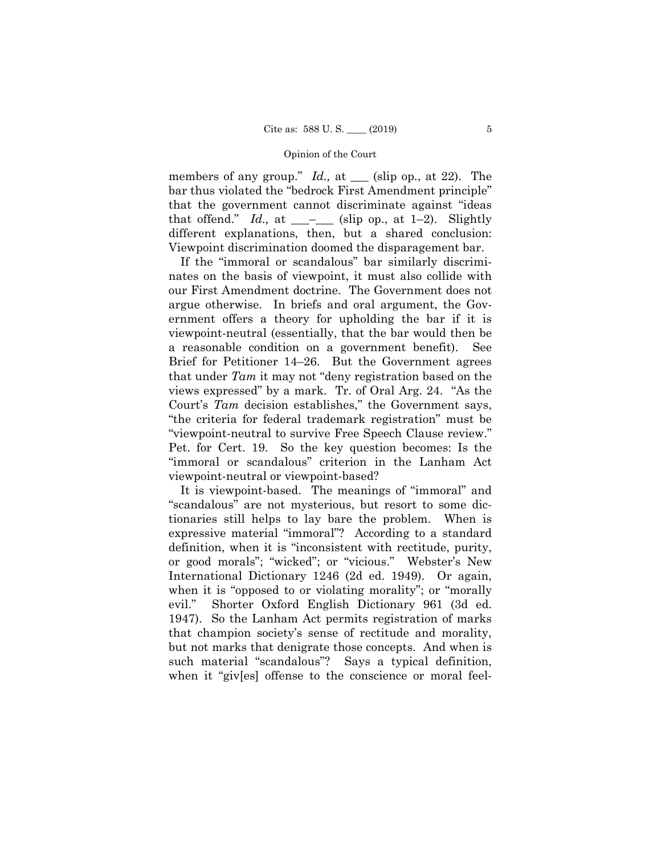members of any group." *Id.*, at <u>section</u> (slip op., at 22). The that offend."  $Id.$ , at  $\rule{1em}{0.5mm} -\quadsup>$  (slip op., at 1–2). Slightly bar thus violated the "bedrock First Amendment principle" that the government cannot discriminate against "ideas different explanations, then, but a shared conclusion: Viewpoint discrimination doomed the disparagement bar.

If the "immoral or scandalous" bar similarly discriminates on the basis of viewpoint, it must also collide with our First Amendment doctrine. The Government does not argue otherwise. In briefs and oral argument, the Government offers a theory for upholding the bar if it is viewpoint-neutral (essentially, that the bar would then be a reasonable condition on a government benefit). See Brief for Petitioner 14–26. But the Government agrees that under *Tam* it may not "deny registration based on the views expressed" by a mark. Tr. of Oral Arg. 24. "As the Court's *Tam* decision establishes," the Government says, "the criteria for federal trademark registration" must be "viewpoint-neutral to survive Free Speech Clause review." Pet. for Cert. 19. So the key question becomes: Is the "immoral or scandalous" criterion in the Lanham Act viewpoint-neutral or viewpoint-based?

It is viewpoint-based. The meanings of "immoral" and "scandalous" are not mysterious, but resort to some dictionaries still helps to lay bare the problem. When is expressive material "immoral"? According to a standard definition, when it is "inconsistent with rectitude, purity, or good morals"; "wicked"; or "vicious." Webster's New International Dictionary 1246 (2d ed. 1949). Or again, when it is "opposed to or violating morality"; or "morally evil." Shorter Oxford English Dictionary 961 (3d ed. 1947). So the Lanham Act permits registration of marks that champion society's sense of rectitude and morality, but not marks that denigrate those concepts. And when is such material "scandalous"? Says a typical definition, when it "giv[es] offense to the conscience or moral feel-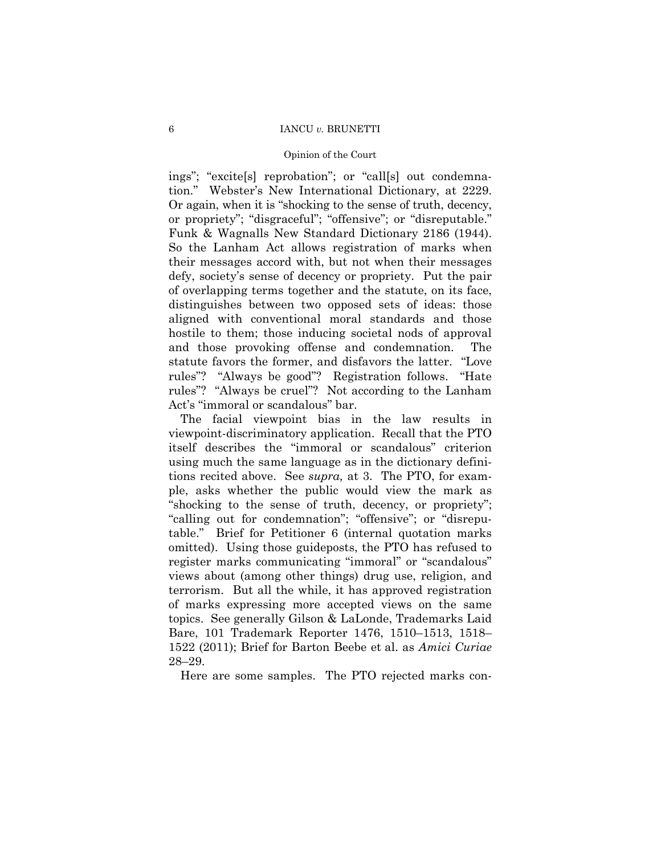#### Opinion of the Court

ings"; "excite[s] reprobation"; or "call[s] out condemnation." Webster's New International Dictionary, at 2229. Or again, when it is "shocking to the sense of truth, decency, or propriety"; "disgraceful"; "offensive"; or "disreputable." Funk & Wagnalls New Standard Dictionary 2186 (1944). So the Lanham Act allows registration of marks when their messages accord with, but not when their messages defy, society's sense of decency or propriety. Put the pair of overlapping terms together and the statute, on its face, distinguishes between two opposed sets of ideas: those aligned with conventional moral standards and those hostile to them; those inducing societal nods of approval and those provoking offense and condemnation. The statute favors the former, and disfavors the latter. "Love rules"? "Always be good"? Registration follows. "Hate rules"? "Always be cruel"? Not according to the Lanham Act's "immoral or scandalous" bar.

The facial viewpoint bias in the law results in viewpoint-discriminatory application. Recall that the PTO itself describes the "immoral or scandalous" criterion using much the same language as in the dictionary definitions recited above. See *supra,* at 3. The PTO, for example, asks whether the public would view the mark as "shocking to the sense of truth, decency, or propriety"; "calling out for condemnation"; "offensive"; or "disreputable." Brief for Petitioner 6 (internal quotation marks omitted). Using those guideposts, the PTO has refused to register marks communicating "immoral" or "scandalous" views about (among other things) drug use, religion, and terrorism. But all the while, it has approved registration of marks expressing more accepted views on the same topics. See generally Gilson & LaLonde, Trademarks Laid Bare, 101 Trademark Reporter 1476, 1510–1513, 1518– 1522 (2011); Brief for Barton Beebe et al. as *Amici Curiae*  28–29.

Here are some samples. The PTO rejected marks con-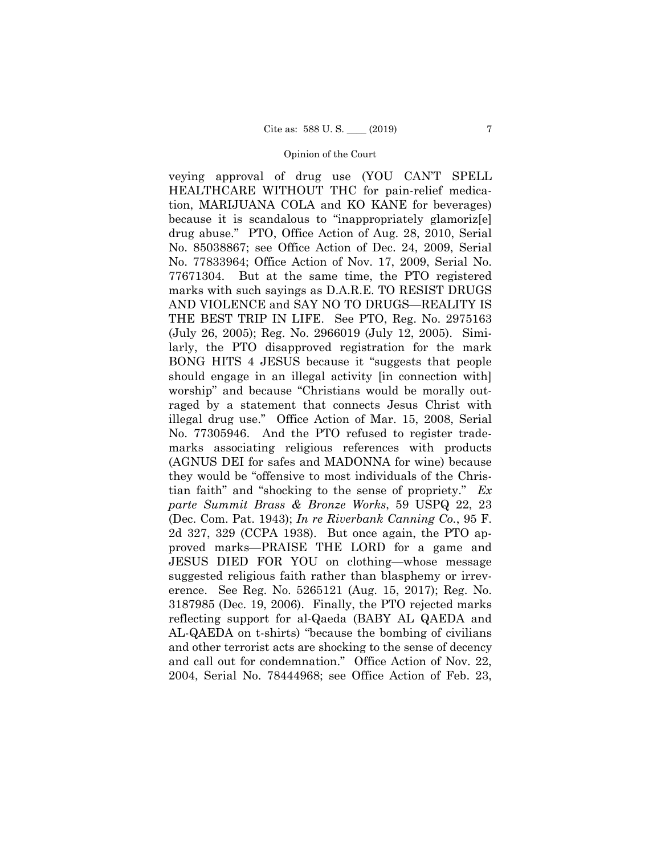No. 77305946. And the PTO refused to register trade- proved marks—PRAISE THE LORD for a game and  3187985 (Dec. 19, 2006). Finally, the PTO rejected marks veying approval of drug use (YOU CAN'T SPELL HEALTHCARE WITHOUT THC for pain-relief medication, MARIJUANA COLA and KO KANE for beverages) because it is scandalous to "inappropriately glamoriz[e] drug abuse." PTO, Office Action of Aug. 28, 2010, Serial No. 85038867; see Office Action of Dec. 24, 2009, Serial No. 77833964; Office Action of Nov. 17, 2009, Serial No. But at the same time, the PTO registered marks with such sayings as D.A.R.E. TO RESIST DRUGS AND VIOLENCE and SAY NO TO DRUGS—REALITY IS THE BEST TRIP IN LIFE. See PTO, Reg. No. 2975163 (July 26, 2005); Reg. No. 2966019 (July 12, 2005). Similarly, the PTO disapproved registration for the mark BONG HITS 4 JESUS because it "suggests that people should engage in an illegal activity [in connection with] worship" and because "Christians would be morally outraged by a statement that connects Jesus Christ with illegal drug use." Office Action of Mar. 15, 2008, Serial marks associating religious references with products (AGNUS DEI for safes and MADONNA for wine) because they would be "offensive to most individuals of the Christian faith" and "shocking to the sense of propriety." *Ex parte Summit Brass & Bronze Works*, 59 USPQ 22, 23 (Dec. Com. Pat. 1943); *In re Riverbank Canning Co.*, 95 F. 2d 327, 329 (CCPA 1938). But once again, the PTO ap-JESUS DIED FOR YOU on clothing—whose message suggested religious faith rather than blasphemy or irreverence. See Reg. No. 5265121 (Aug. 15, 2017); Reg. No. reflecting support for al-Qaeda (BABY AL QAEDA and AL-QAEDA on t-shirts) "because the bombing of civilians and other terrorist acts are shocking to the sense of decency and call out for condemnation." Office Action of Nov. 22, 2004, Serial No. 78444968; see Office Action of Feb. 23,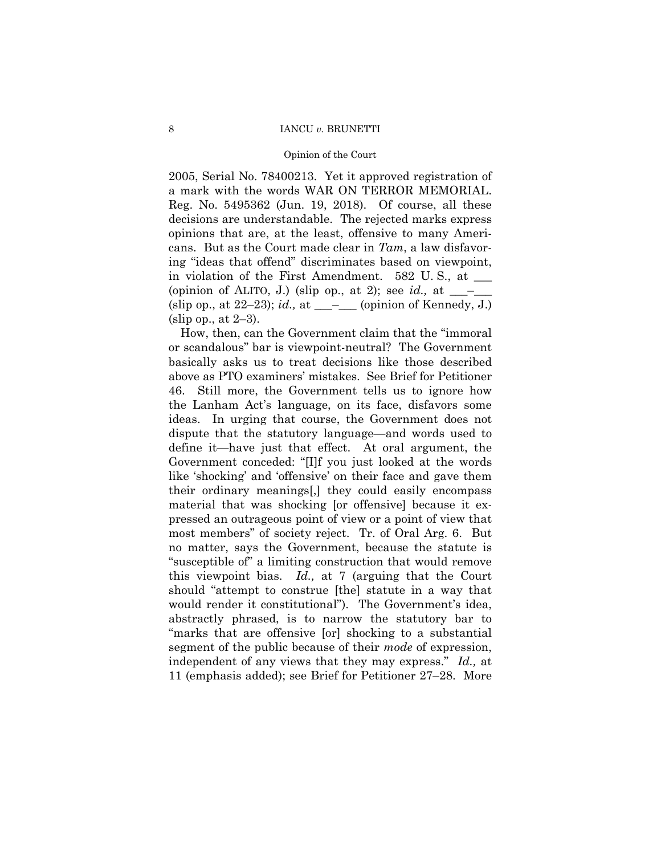#### Opinion of the Court

2005, Serial No. 78400213. Yet it approved registration of a mark with the words WAR ON TERROR MEMORIAL. Reg. No. 5495362 (Jun. 19, 2018). Of course, all these decisions are understandable. The rejected marks express opinions that are, at the least, offensive to many Americans. But as the Court made clear in *Tam*, a law disfavoring "ideas that offend" discriminates based on viewpoint, in violation of the First Amendment. 582 U.S., at  $\_\_$ (opinion of ALITO, J.) (slip op., at 2); see *id.*, at  $\_\_$ (slip op., at 22–23); *id.,* at \_\_\_–\_\_\_ (opinion of Kennedy, J.) (slip op., at 2–3).

How, then, can the Government claim that the "immoral or scandalous" bar is viewpoint-neutral? The Government basically asks us to treat decisions like those described above as PTO examiners' mistakes. See Brief for Petitioner 46. Still more, the Government tells us to ignore how the Lanham Act's language, on its face, disfavors some ideas. In urging that course, the Government does not dispute that the statutory language—and words used to define it—have just that effect. At oral argument, the Government conceded: "[I]f you just looked at the words like 'shocking' and 'offensive' on their face and gave them their ordinary meanings[,] they could easily encompass material that was shocking [or offensive] because it expressed an outrageous point of view or a point of view that most members" of society reject. Tr. of Oral Arg. 6. But no matter, says the Government, because the statute is "susceptible of" a limiting construction that would remove this viewpoint bias. *Id.,* at 7 (arguing that the Court should "attempt to construe [the] statute in a way that would render it constitutional"). The Government's idea, abstractly phrased, is to narrow the statutory bar to "marks that are offensive [or] shocking to a substantial segment of the public because of their *mode* of expression, independent of any views that they may express." *Id.,* at 11 (emphasis added); see Brief for Petitioner 27–28. More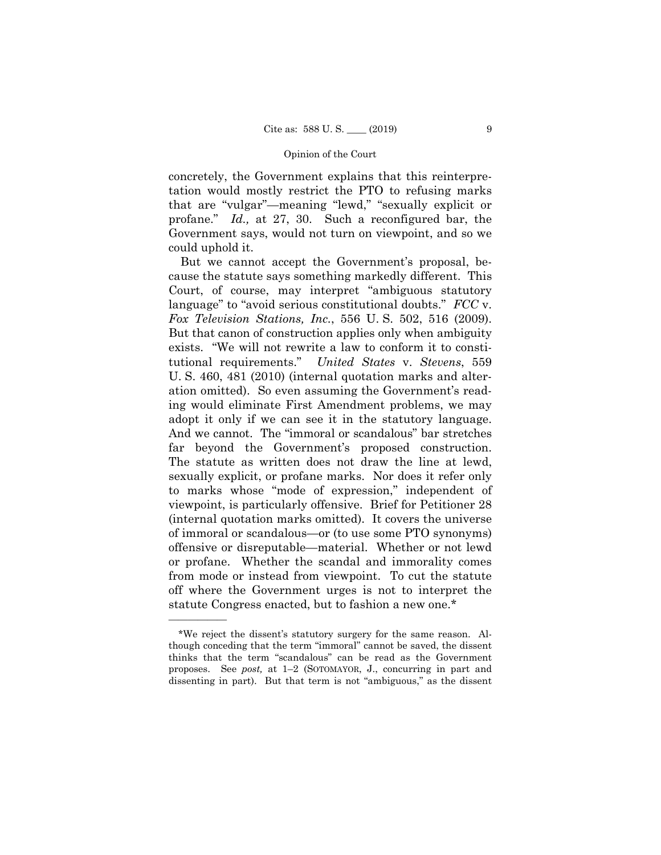profane." *Id.,* at 27, 30. Such a reconfigured bar, the concretely, the Government explains that this reinterpretation would mostly restrict the PTO to refusing marks that are "vulgar"—meaning "lewd," "sexually explicit or Government says, would not turn on viewpoint, and so we could uphold it.

But we cannot accept the Government's proposal, because the statute says something markedly different. This Court, of course, may interpret "ambiguous statutory language" to "avoid serious constitutional doubts." *FCC* v. *Fox Television Stations, Inc.*, 556 U. S. 502, 516 (2009). But that canon of construction applies only when ambiguity exists. "We will not rewrite a law to conform it to constitutional requirements." *United States* v. *Stevens*, 559 U. S. 460, 481 (2010) (internal quotation marks and alteration omitted). So even assuming the Government's reading would eliminate First Amendment problems, we may adopt it only if we can see it in the statutory language. And we cannot. The "immoral or scandalous" bar stretches far beyond the Government's proposed construction. The statute as written does not draw the line at lewd, sexually explicit, or profane marks. Nor does it refer only to marks whose "mode of expression," independent of viewpoint, is particularly offensive. Brief for Petitioner 28 (internal quotation marks omitted). It covers the universe of immoral or scandalous—or (to use some PTO synonyms) offensive or disreputable—material. Whether or not lewd or profane. Whether the scandal and immorality comes from mode or instead from viewpoint. To cut the statute off where the Government urges is not to interpret the statute Congress enacted, but to fashion a new one.\*

<sup>\*</sup>We reject the dissent's statutory surgery for the same reason. Although conceding that the term "immoral" cannot be saved, the dissent thinks that the term "scandalous" can be read as the Government proposes. See *post,* at 1–2 (SOTOMAYOR, J., concurring in part and dissenting in part). But that term is not "ambiguous," as the dissent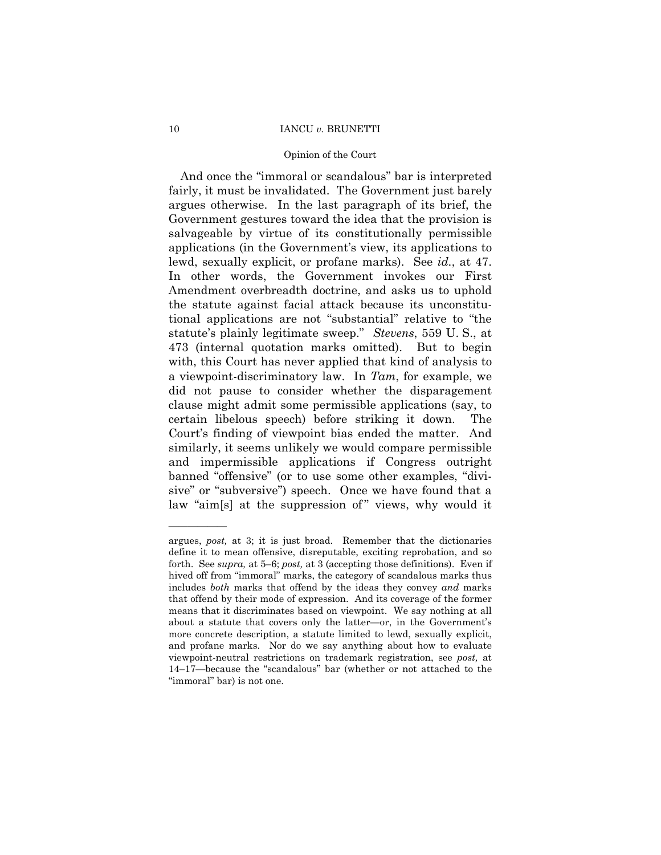# Opinion of the Court

And once the "immoral or scandalous" bar is interpreted fairly, it must be invalidated. The Government just barely argues otherwise. In the last paragraph of its brief, the Government gestures toward the idea that the provision is salvageable by virtue of its constitutionally permissible applications (in the Government's view, its applications to lewd, sexually explicit, or profane marks). See *id.*, at 47. In other words, the Government invokes our First Amendment overbreadth doctrine, and asks us to uphold the statute against facial attack because its unconstitutional applications are not "substantial" relative to "the statute's plainly legitimate sweep." *Stevens*, 559 U. S., at 473 (internal quotation marks omitted). But to begin with, this Court has never applied that kind of analysis to a viewpoint-discriminatory law. In *Tam*, for example, we did not pause to consider whether the disparagement clause might admit some permissible applications (say, to certain libelous speech) before striking it down. The Court's finding of viewpoint bias ended the matter. And similarly, it seems unlikely we would compare permissible and impermissible applications if Congress outright banned "offensive" (or to use some other examples, "divisive" or "subversive") speech. Once we have found that a law "aim[s] at the suppression of" views, why would it

 argues, *post,* at 3; it is just broad. Remember that the dictionaries define it to mean offensive, disreputable, exciting reprobation, and so forth. See *supra,* at 5–6; *post,* at 3 (accepting those definitions). Even if hived off from "immoral" marks, the category of scandalous marks thus includes *both* marks that offend by the ideas they convey *and* marks that offend by their mode of expression. And its coverage of the former means that it discriminates based on viewpoint. We say nothing at all about a statute that covers only the latter—or, in the Government's more concrete description, a statute limited to lewd, sexually explicit, and profane marks. Nor do we say anything about how to evaluate viewpoint-neutral restrictions on trademark registration, see *post,* at 14–17—because the "scandalous" bar (whether or not attached to the "immoral" bar) is not one.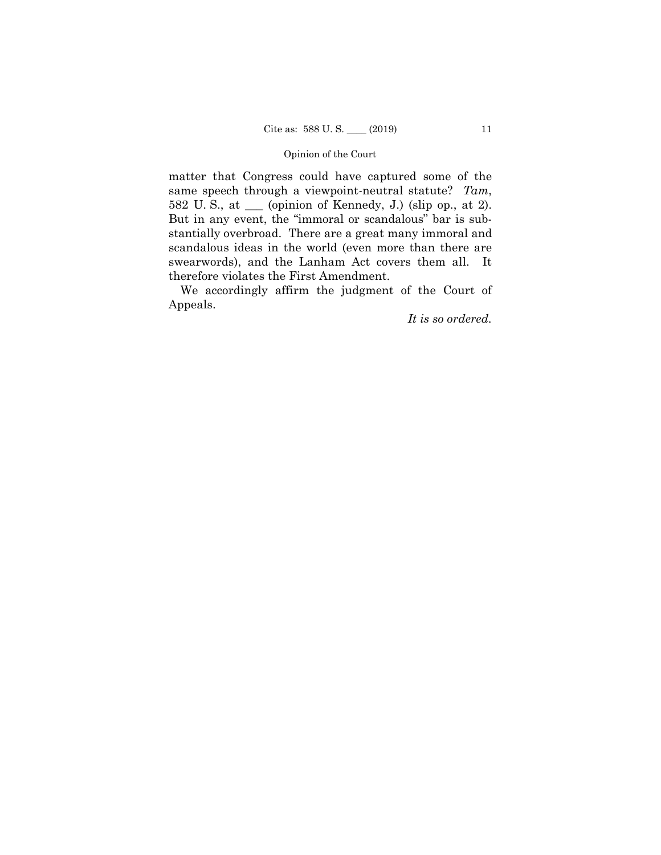But in any event, the "immoral or scandalous" bar is submatter that Congress could have captured some of the same speech through a viewpoint-neutral statute? *Tam*, 582 U. S., at \_\_\_ (opinion of Kennedy, J.) (slip op., at 2). stantially overbroad. There are a great many immoral and scandalous ideas in the world (even more than there are swearwords), and the Lanham Act covers them all. It therefore violates the First Amendment.

We accordingly affirm the judgment of the Court of Appeals.

*It is so ordered.*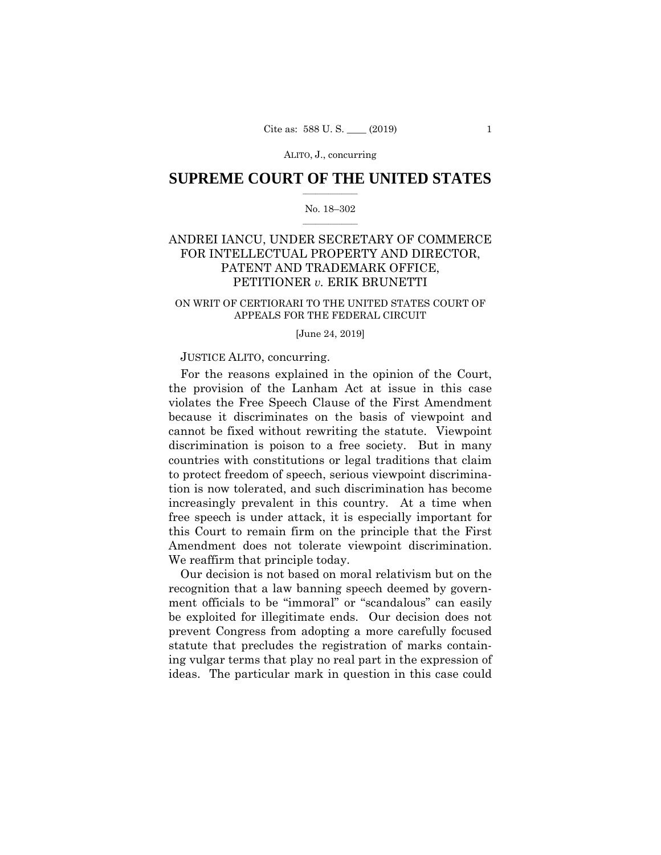#### ALITO, J., concurring

## $\frac{1}{2}$  , where  $\frac{1}{2}$ **SUPREME COURT OF THE UNITED STATES**

#### $\frac{1}{2}$  ,  $\frac{1}{2}$  ,  $\frac{1}{2}$  ,  $\frac{1}{2}$  ,  $\frac{1}{2}$  ,  $\frac{1}{2}$ No. 18–302

# PATENT AND TRADEMARK OFFICE, ANDREI IANCU, UNDER SECRETARY OF COMMERCE FOR INTELLECTUAL PROPERTY AND DIRECTOR, PETITIONER *v.* ERIK BRUNETTI

# ON WRIT OF CERTIORARI TO THE UNITED STATES COURT OF APPEALS FOR THE FEDERAL CIRCUIT

#### [June 24, 2019]

## JUSTICE ALITO, concurring.

For the reasons explained in the opinion of the Court, the provision of the Lanham Act at issue in this case violates the Free Speech Clause of the First Amendment because it discriminates on the basis of viewpoint and cannot be fixed without rewriting the statute. Viewpoint discrimination is poison to a free society. But in many countries with constitutions or legal traditions that claim to protect freedom of speech, serious viewpoint discrimination is now tolerated, and such discrimination has become increasingly prevalent in this country. At a time when free speech is under attack, it is especially important for this Court to remain firm on the principle that the First Amendment does not tolerate viewpoint discrimination. We reaffirm that principle today.

Our decision is not based on moral relativism but on the recognition that a law banning speech deemed by government officials to be "immoral" or "scandalous" can easily be exploited for illegitimate ends. Our decision does not prevent Congress from adopting a more carefully focused statute that precludes the registration of marks containing vulgar terms that play no real part in the expression of ideas. The particular mark in question in this case could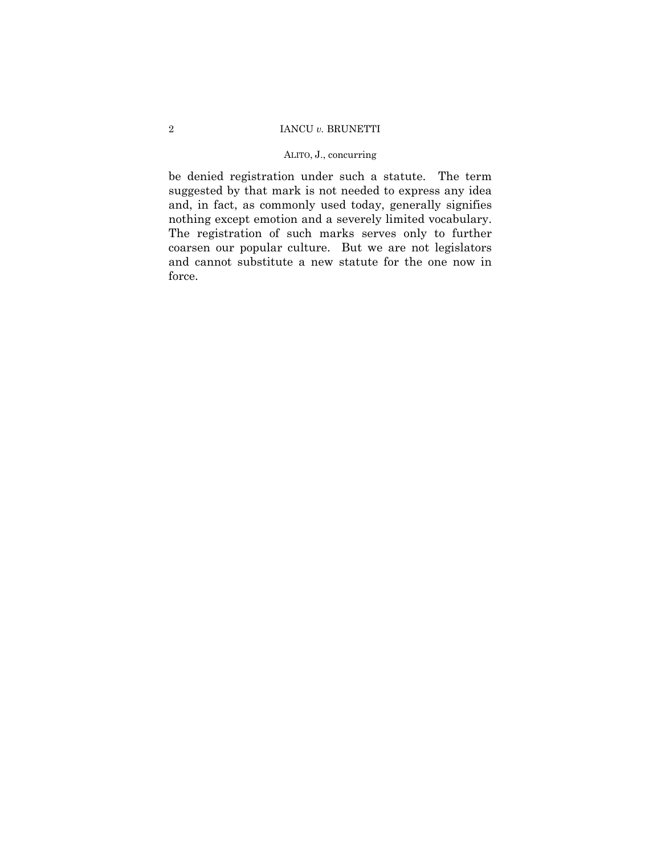# ALITO, J., concurring

 nothing except emotion and a severely limited vocabulary. be denied registration under such a statute. The term suggested by that mark is not needed to express any idea and, in fact, as commonly used today, generally signifies The registration of such marks serves only to further coarsen our popular culture. But we are not legislators and cannot substitute a new statute for the one now in force.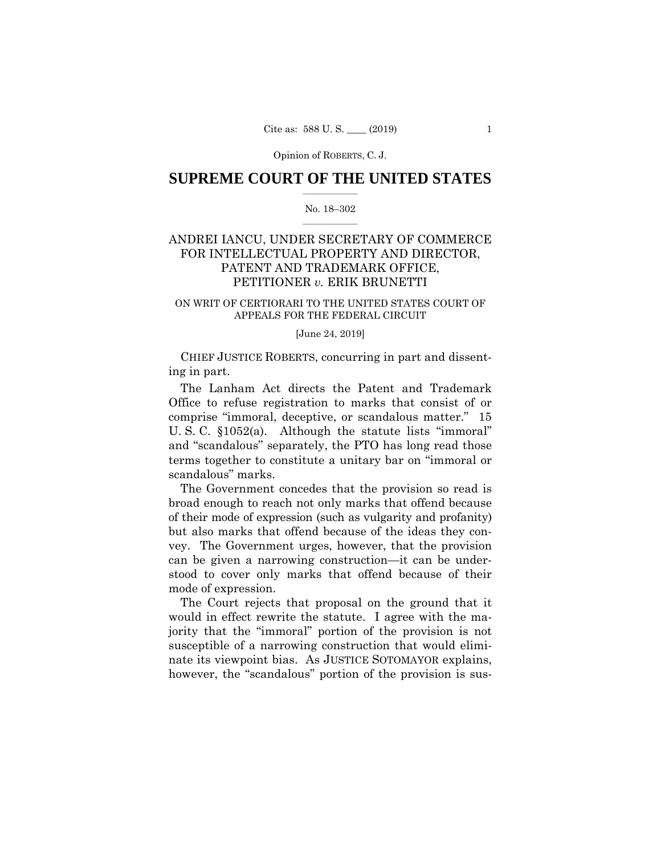Opinion of ROBERTS, C. J.

## $\frac{1}{2}$  , where  $\frac{1}{2}$ **SUPREME COURT OF THE UNITED STATES**

#### $\frac{1}{2}$  ,  $\frac{1}{2}$  ,  $\frac{1}{2}$  ,  $\frac{1}{2}$  ,  $\frac{1}{2}$  ,  $\frac{1}{2}$ No. 18–302

# PATENT AND TRADEMARK OFFICE, ANDREI IANCU, UNDER SECRETARY OF COMMERCE FOR INTELLECTUAL PROPERTY AND DIRECTOR, PETITIONER *v.* ERIK BRUNETTI

# ON WRIT OF CERTIORARI TO THE UNITED STATES COURT OF APPEALS FOR THE FEDERAL CIRCUIT

#### [June 24, 2019]

CHIEF JUSTICE ROBERTS, concurring in part and dissenting in part.

The Lanham Act directs the Patent and Trademark Office to refuse registration to marks that consist of or comprise "immoral, deceptive, or scandalous matter." 15 U. S. C. §1052(a). Although the statute lists "immoral" and "scandalous" separately, the PTO has long read those terms together to constitute a unitary bar on "immoral or scandalous" marks.

The Government concedes that the provision so read is broad enough to reach not only marks that offend because of their mode of expression (such as vulgarity and profanity) but also marks that offend because of the ideas they convey. The Government urges, however, that the provision can be given a narrowing construction—it can be understood to cover only marks that offend because of their mode of expression.

The Court rejects that proposal on the ground that it would in effect rewrite the statute. I agree with the majority that the "immoral" portion of the provision is not susceptible of a narrowing construction that would eliminate its viewpoint bias. As JUSTICE SOTOMAYOR explains, however, the "scandalous" portion of the provision is sus-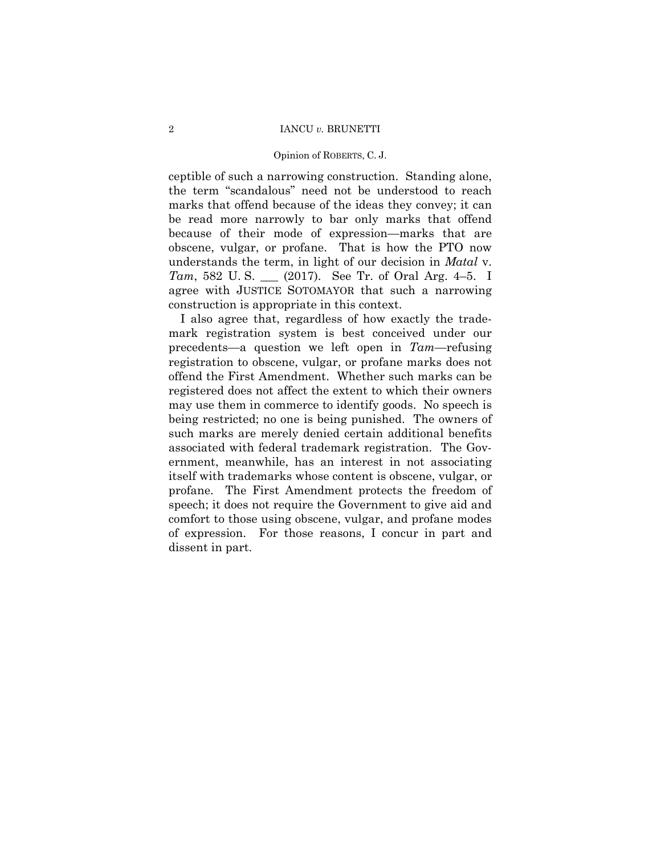#### Opinion of ROBERTS, C. J.

ceptible of such a narrowing construction. Standing alone, the term "scandalous" need not be understood to reach marks that offend because of the ideas they convey; it can be read more narrowly to bar only marks that offend because of their mode of expression—marks that are obscene, vulgar, or profane. That is how the PTO now understands the term, in light of our decision in *Matal* v. *Tam*, 582 U. S. \_\_\_ (2017). See Tr. of Oral Arg. 4–5. I agree with JUSTICE SOTOMAYOR that such a narrowing construction is appropriate in this context.

I also agree that, regardless of how exactly the trademark registration system is best conceived under our precedents—a question we left open in *Tam*—refusing registration to obscene, vulgar, or profane marks does not offend the First Amendment. Whether such marks can be registered does not affect the extent to which their owners may use them in commerce to identify goods. No speech is being restricted; no one is being punished. The owners of such marks are merely denied certain additional benefits associated with federal trademark registration. The Government, meanwhile, has an interest in not associating itself with trademarks whose content is obscene, vulgar, or profane. The First Amendment protects the freedom of speech; it does not require the Government to give aid and comfort to those using obscene, vulgar, and profane modes of expression. For those reasons, I concur in part and dissent in part.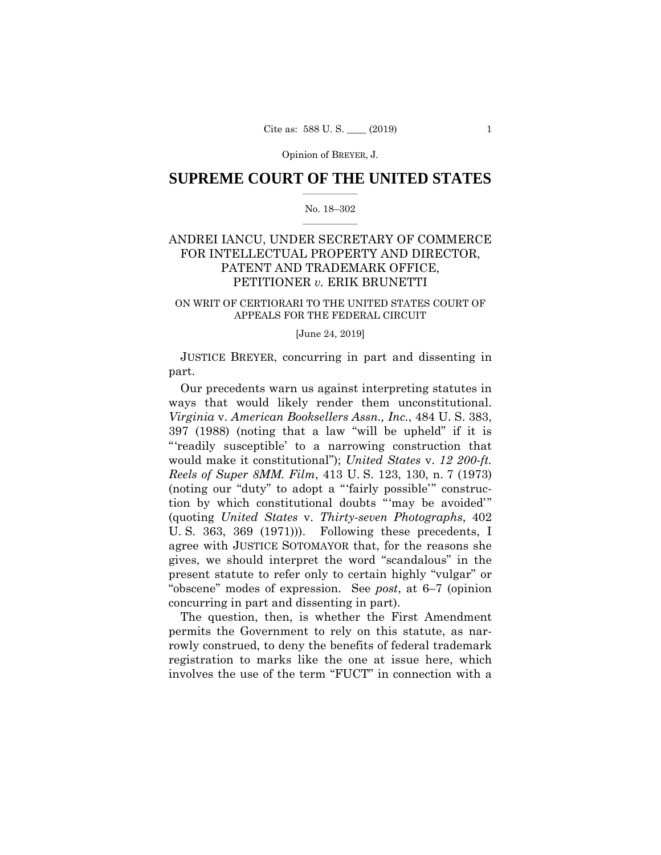## $\frac{1}{2}$  , where  $\frac{1}{2}$ **SUPREME COURT OF THE UNITED STATES**

#### $\frac{1}{2}$  ,  $\frac{1}{2}$  ,  $\frac{1}{2}$  ,  $\frac{1}{2}$  ,  $\frac{1}{2}$  ,  $\frac{1}{2}$ No. 18–302

# PATENT AND TRADEMARK OFFICE, ANDREI IANCU, UNDER SECRETARY OF COMMERCE FOR INTELLECTUAL PROPERTY AND DIRECTOR, PETITIONER *v.* ERIK BRUNETTI

# ON WRIT OF CERTIORARI TO THE UNITED STATES COURT OF APPEALS FOR THE FEDERAL CIRCUIT

#### [June 24, 2019]

JUSTICE BREYER, concurring in part and dissenting in part.

 ways that would likely render them unconstitutional. Our precedents warn us against interpreting statutes in *Virginia* v. *American Booksellers Assn., Inc.*, 484 U. S. 383, 397 (1988) (noting that a law "will be upheld" if it is "'readily susceptible' to a narrowing construction that would make it constitutional"); *United States* v. *12 200-ft. Reels of Super 8MM. Film*, 413 U. S. 123, 130, n. 7 (1973) (noting our "duty" to adopt a "'fairly possible'" construction by which constitutional doubts "'may be avoided'" (quoting *United States* v. *Thirty-seven Photographs*, 402 U. S. 363, 369 (1971))). Following these precedents, I agree with JUSTICE SOTOMAYOR that, for the reasons she gives, we should interpret the word "scandalous" in the present statute to refer only to certain highly "vulgar" or "obscene" modes of expression. See *post*, at 6–7 (opinion concurring in part and dissenting in part).

The question, then, is whether the First Amendment permits the Government to rely on this statute, as narrowly construed, to deny the benefits of federal trademark registration to marks like the one at issue here, which involves the use of the term "FUCT" in connection with a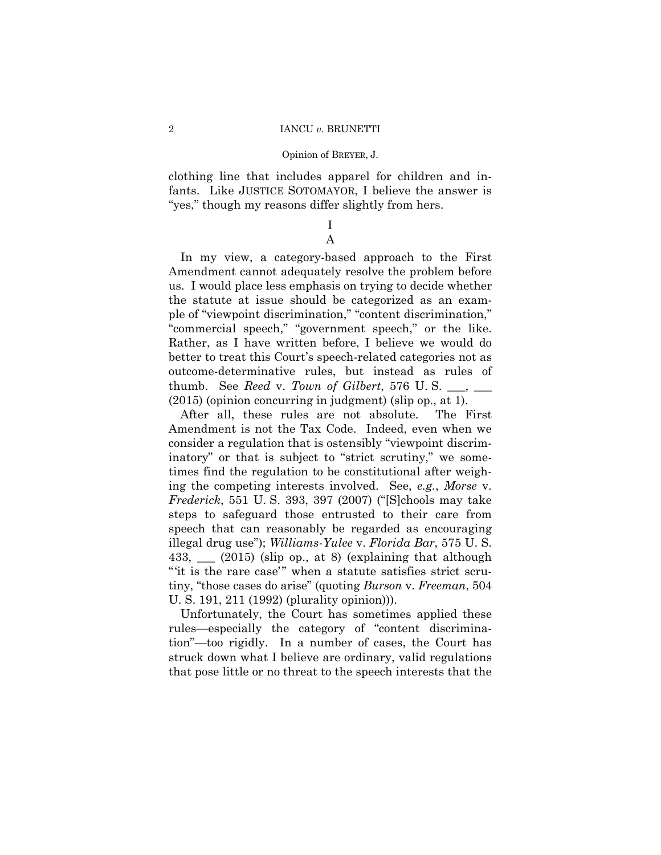clothing line that includes apparel for children and infants. Like JUSTICE SOTOMAYOR, I believe the answer is "yes," though my reasons differ slightly from hers.

> I A

In my view, a category-based approach to the First Amendment cannot adequately resolve the problem before us. I would place less emphasis on trying to decide whether the statute at issue should be categorized as an example of "viewpoint discrimination," "content discrimination," "commercial speech," "government speech," or the like. Rather, as I have written before, I believe we would do better to treat this Court's speech-related categories not as outcome-determinative rules, but instead as rules of thumb. See *Reed* v. *Town of Gilbert*, 576 U. S. \_\_\_, \_\_\_ (2015) (opinion concurring in judgment) (slip op., at 1).

After all, these rules are not absolute. The First Amendment is not the Tax Code. Indeed, even when we consider a regulation that is ostensibly "viewpoint discriminatory" or that is subject to "strict scrutiny," we sometimes find the regulation to be constitutional after weighing the competing interests involved. See, *e.g.*, *Morse* v. *Frederick*, 551 U. S. 393, 397 (2007) ("[S]chools may take steps to safeguard those entrusted to their care from speech that can reasonably be regarded as encouraging illegal drug use"); *Williams-Yulee* v. *Florida Bar*, 575 U. S. 433, \_\_\_ (2015) (slip op., at 8) (explaining that although "'it is the rare case'" when a statute satisfies strict scrutiny, "those cases do arise" (quoting *Burson* v. *Freeman*, 504 U. S. 191, 211 (1992) (plurality opinion))).

Unfortunately, the Court has sometimes applied these rules—especially the category of "content discrimination"—too rigidly. In a number of cases, the Court has struck down what I believe are ordinary, valid regulations that pose little or no threat to the speech interests that the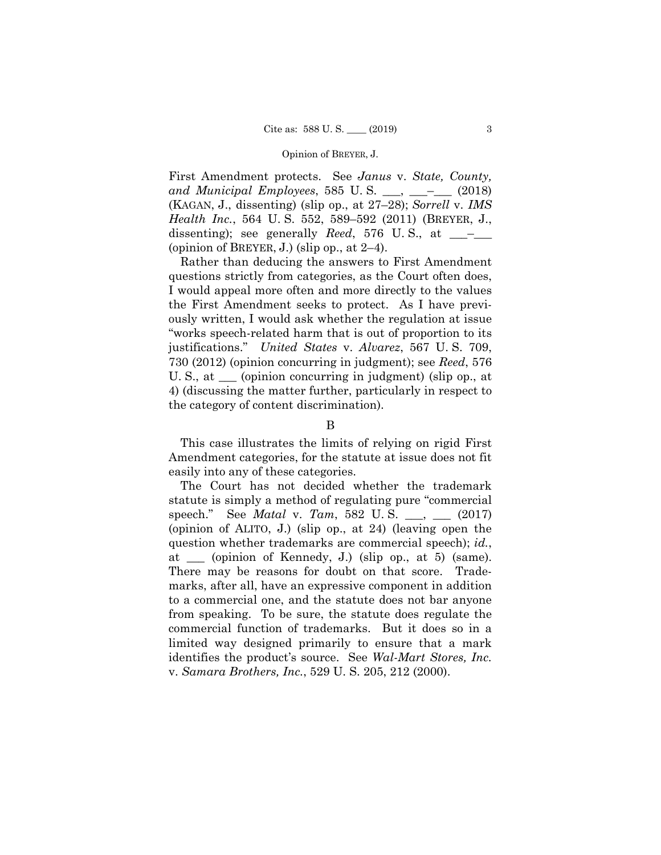*Health Inc.*, 564 U. S. 552, 589–592 (2011) (BREYER, J., First Amendment protects. See *Janus* v. *State, County, and Municipal Employees*, 585 U. S. \_\_\_, \_\_\_–\_\_\_ (2018) (KAGAN, J., dissenting) (slip op., at 27–28); *Sorrell* v. *IMS*  dissenting); see generally *Reed*, 576 U.S., at  $\_\_\_\_\_\_$ (opinion of BREYER, J.) (slip op., at 2–4).

Rather than deducing the answers to First Amendment questions strictly from categories, as the Court often does, I would appeal more often and more directly to the values the First Amendment seeks to protect. As I have previously written, I would ask whether the regulation at issue "works speech-related harm that is out of proportion to its justifications." *United States* v. *Alvarez*, 567 U. S. 709, 730 (2012) (opinion concurring in judgment); see *Reed*, 576 U. S., at \_\_\_ (opinion concurring in judgment) (slip op., at 4) (discussing the matter further, particularly in respect to the category of content discrimination).

### B

This case illustrates the limits of relying on rigid First Amendment categories, for the statute at issue does not fit easily into any of these categories.

The Court has not decided whether the trademark statute is simply a method of regulating pure "commercial speech." See *Matal* v. *Tam*, 582 U. S. \_\_\_, \_\_\_ (2017) (opinion of ALITO, J.) (slip op., at 24) (leaving open the question whether trademarks are commercial speech); *id.*, at \_\_\_ (opinion of Kennedy, J.) (slip op., at 5) (same). There may be reasons for doubt on that score. Trademarks, after all, have an expressive component in addition to a commercial one, and the statute does not bar anyone from speaking. To be sure, the statute does regulate the commercial function of trademarks. But it does so in a limited way designed primarily to ensure that a mark identifies the product's source. See *Wal-Mart Stores, Inc.*  v. *Samara Brothers, Inc.*, 529 U. S. 205, 212 (2000).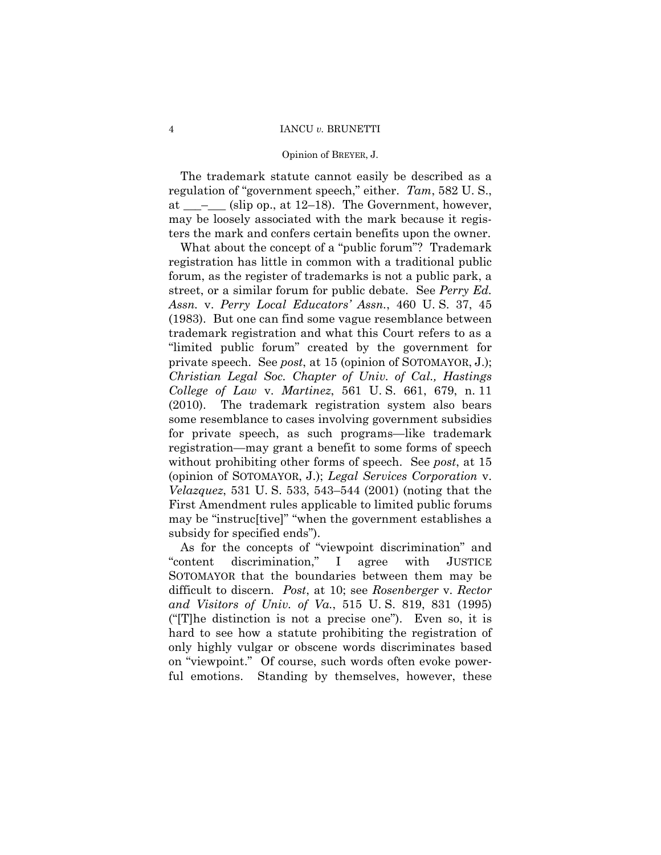#### Opinion of BREYER, J.

The trademark statute cannot easily be described as a regulation of "government speech," either. *Tam*, 582 U. S., at  $\_\_\_\_\_\_\$ (slip op., at 12–18). The Government, however, may be loosely associated with the mark because it registers the mark and confers certain benefits upon the owner.

 may be "instruc[tive]" "when the government establishes a What about the concept of a "public forum"? Trademark registration has little in common with a traditional public forum, as the register of trademarks is not a public park, a street, or a similar forum for public debate. See *Perry Ed. Assn.* v. *Perry Local Educators' Assn.*, 460 U. S. 37, 45 (1983). But one can find some vague resemblance between trademark registration and what this Court refers to as a "limited public forum" created by the government for private speech. See *post*, at 15 (opinion of SOTOMAYOR, J.); *Christian Legal Soc. Chapter of Univ. of Cal., Hastings College of Law* v. *Martinez*, 561 U. S. 661, 679, n. 11 (2010). The trademark registration system also bears some resemblance to cases involving government subsidies for private speech, as such programs—like trademark registration—may grant a benefit to some forms of speech without prohibiting other forms of speech. See *post*, at 15 (opinion of SOTOMAYOR, J.); *Legal Services Corporation* v. *Velazquez*, 531 U. S. 533, 543–544 (2001) (noting that the First Amendment rules applicable to limited public forums subsidy for specified ends").

As for the concepts of "viewpoint discrimination" and "content discrimination," I agree with JUSTICE SOTOMAYOR that the boundaries between them may be difficult to discern. *Post*, at 10; see *Rosenberger* v. *Rector and Visitors of Univ. of Va.*, 515 U. S. 819, 831 (1995) ("[T]he distinction is not a precise one"). Even so, it is hard to see how a statute prohibiting the registration of only highly vulgar or obscene words discriminates based on "viewpoint." Of course, such words often evoke powerful emotions. Standing by themselves, however, these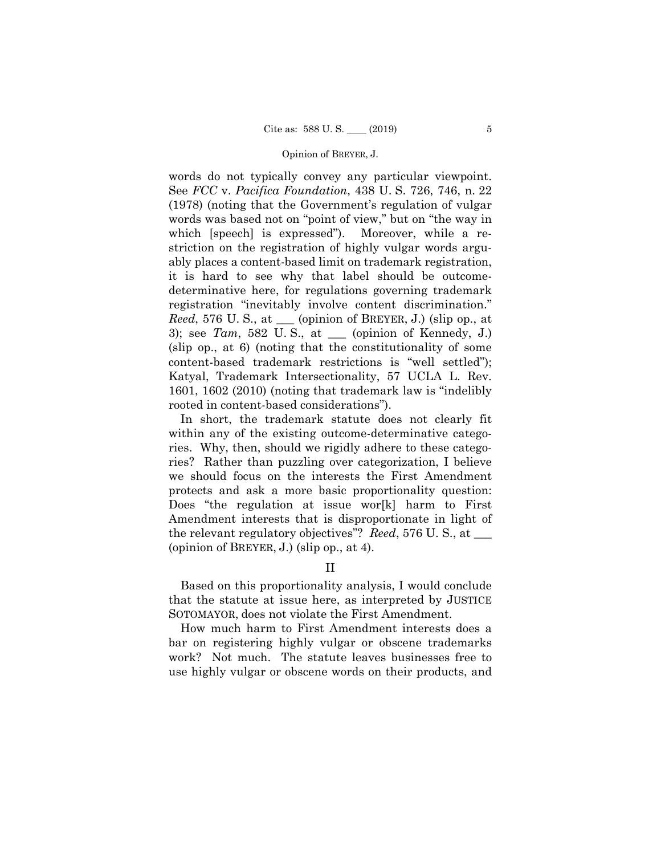words do not typically convey any particular viewpoint. See *FCC* v. *Pacifica Foundation*, 438 U. S. 726, 746, n. 22 (1978) (noting that the Government's regulation of vulgar words was based not on "point of view," but on "the way in which [speech] is expressed"). Moreover, while a restriction on the registration of highly vulgar words arguably places a content-based limit on trademark registration, it is hard to see why that label should be outcomedeterminative here, for regulations governing trademark registration "inevitably involve content discrimination." *Reed*, 576 U. S., at \_\_\_ (opinion of BREYER, J.) (slip op., at 3); see *Tam*, 582 U. S., at \_\_\_ (opinion of Kennedy, J.) (slip op., at 6) (noting that the constitutionality of some content-based trademark restrictions is "well settled"); Katyal, Trademark Intersectionality, 57 UCLA L. Rev. 1601, 1602 (2010) (noting that trademark law is "indelibly rooted in content-based considerations").

In short, the trademark statute does not clearly fit within any of the existing outcome-determinative categories. Why, then, should we rigidly adhere to these categories? Rather than puzzling over categorization, I believe we should focus on the interests the First Amendment protects and ask a more basic proportionality question: Does "the regulation at issue wor[k] harm to First Amendment interests that is disproportionate in light of the relevant regulatory objectives"? *Reed*, 576 U. S., at \_\_\_ (opinion of BREYER, J.) (slip op., at 4).

#### II

Based on this proportionality analysis, I would conclude that the statute at issue here, as interpreted by JUSTICE SOTOMAYOR, does not violate the First Amendment.

How much harm to First Amendment interests does a bar on registering highly vulgar or obscene trademarks work? Not much. The statute leaves businesses free to use highly vulgar or obscene words on their products, and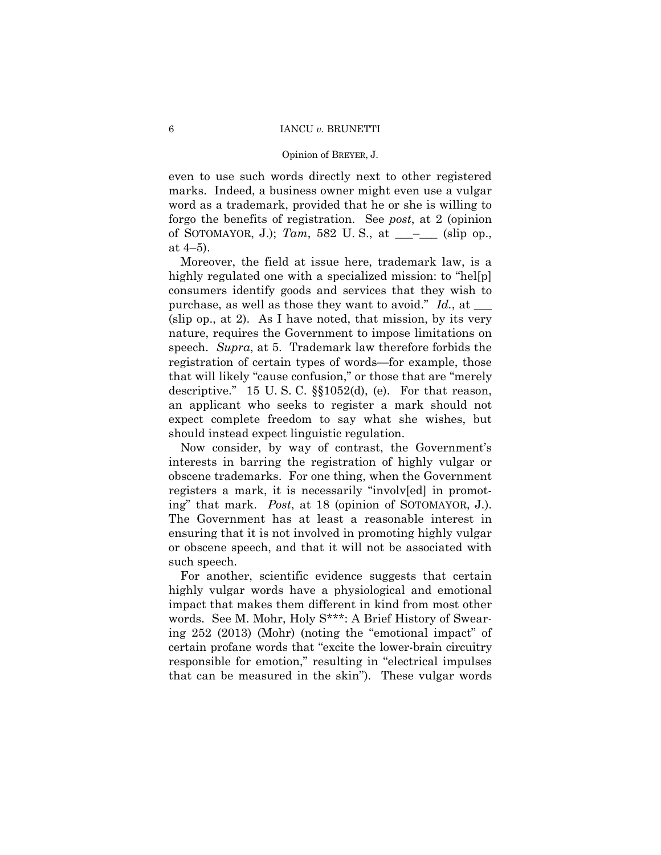even to use such words directly next to other registered marks. Indeed, a business owner might even use a vulgar word as a trademark, provided that he or she is willing to forgo the benefits of registration. See *post*, at 2 (opinion of SOTOMAYOR, J.); *Tam*, 582 U. S., at \_\_\_–\_\_\_ (slip op., at 4–5).

 (slip op., at 2). As I have noted, that mission, by its very  speech. *Supra*, at 5. Trademark law therefore forbids the Moreover, the field at issue here, trademark law, is a highly regulated one with a specialized mission: to "helle" consumers identify goods and services that they wish to purchase, as well as those they want to avoid." *Id.*, at \_\_\_ nature, requires the Government to impose limitations on registration of certain types of words—for example, those that will likely "cause confusion," or those that are "merely descriptive." 15 U. S. C. §§1052(d), (e). For that reason, an applicant who seeks to register a mark should not expect complete freedom to say what she wishes, but should instead expect linguistic regulation.

Now consider, by way of contrast, the Government's interests in barring the registration of highly vulgar or obscene trademarks. For one thing, when the Government registers a mark, it is necessarily "involv[ed] in promoting" that mark. *Post*, at 18 (opinion of SOTOMAYOR, J.). The Government has at least a reasonable interest in ensuring that it is not involved in promoting highly vulgar or obscene speech, and that it will not be associated with such speech.

For another, scientific evidence suggests that certain highly vulgar words have a physiological and emotional impact that makes them different in kind from most other words. See M. Mohr, Holy S\*\*\*: A Brief History of Swearing 252 (2013) (Mohr) (noting the "emotional impact" of certain profane words that "excite the lower-brain circuitry responsible for emotion," resulting in "electrical impulses that can be measured in the skin"). These vulgar words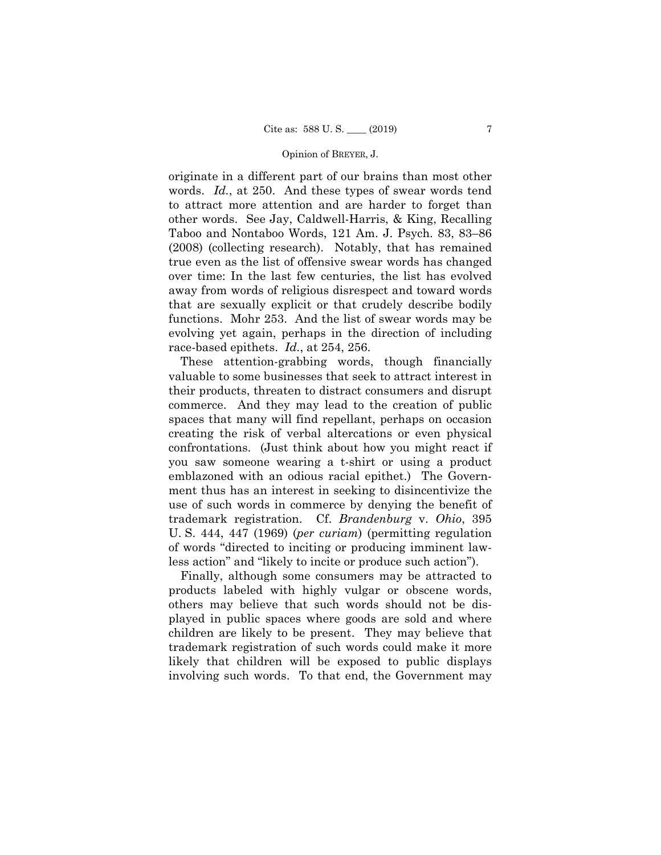functions. Mohr 253. And the list of swear words may be originate in a different part of our brains than most other words. *Id.*, at 250. And these types of swear words tend to attract more attention and are harder to forget than other words. See Jay, Caldwell-Harris, & King, Recalling Taboo and Nontaboo Words, 121 Am. J. Psych. 83, 83–86 (2008) (collecting research). Notably, that has remained true even as the list of offensive swear words has changed over time: In the last few centuries, the list has evolved away from words of religious disrespect and toward words that are sexually explicit or that crudely describe bodily evolving yet again, perhaps in the direction of including race-based epithets. *Id.*, at 254, 256.

These attention-grabbing words, though financially valuable to some businesses that seek to attract interest in their products, threaten to distract consumers and disrupt commerce. And they may lead to the creation of public spaces that many will find repellant, perhaps on occasion creating the risk of verbal altercations or even physical confrontations. (Just think about how you might react if you saw someone wearing a t-shirt or using a product emblazoned with an odious racial epithet.) The Government thus has an interest in seeking to disincentivize the use of such words in commerce by denying the benefit of trademark registration. Cf. *Brandenburg* v. *Ohio*, 395 U. S. 444, 447 (1969) (*per curiam*) (permitting regulation of words "directed to inciting or producing imminent lawless action" and "likely to incite or produce such action").

Finally, although some consumers may be attracted to products labeled with highly vulgar or obscene words, others may believe that such words should not be displayed in public spaces where goods are sold and where children are likely to be present. They may believe that trademark registration of such words could make it more likely that children will be exposed to public displays involving such words. To that end, the Government may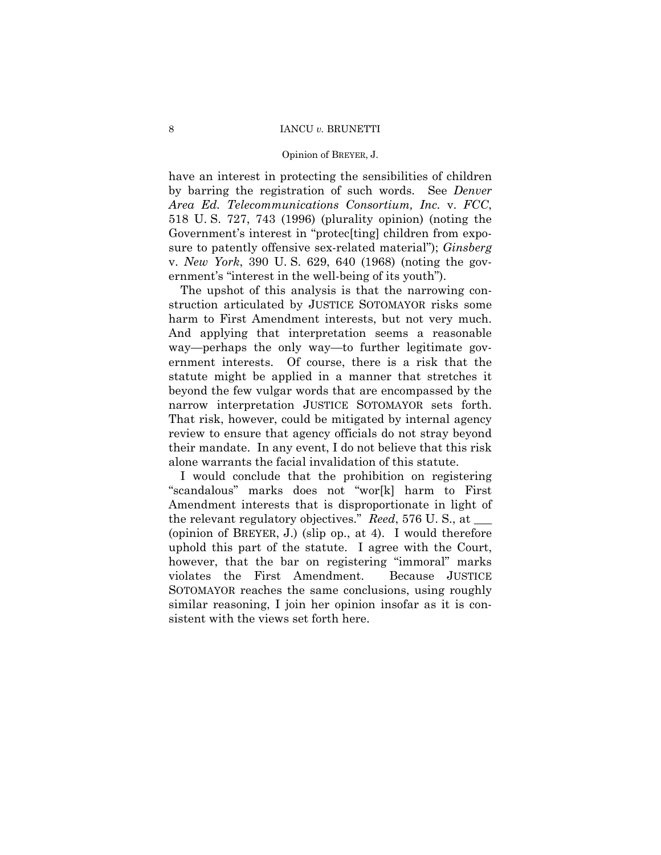#### Opinion of BREYER, J.

have an interest in protecting the sensibilities of children by barring the registration of such words. See *Denver Area Ed. Telecommunications Consortium, Inc.* v. *FCC*, 518 U. S. 727, 743 (1996) (plurality opinion) (noting the Government's interest in "protec[ting] children from exposure to patently offensive sex-related material"); *Ginsberg*  v. *New York*, 390 U. S. 629, 640 (1968) (noting the government's "interest in the well-being of its youth").

The upshot of this analysis is that the narrowing construction articulated by JUSTICE SOTOMAYOR risks some harm to First Amendment interests, but not very much. And applying that interpretation seems a reasonable way—perhaps the only way—to further legitimate government interests. Of course, there is a risk that the statute might be applied in a manner that stretches it beyond the few vulgar words that are encompassed by the narrow interpretation JUSTICE SOTOMAYOR sets forth. That risk, however, could be mitigated by internal agency review to ensure that agency officials do not stray beyond their mandate. In any event, I do not believe that this risk alone warrants the facial invalidation of this statute.

I would conclude that the prohibition on registering "scandalous" marks does not "wor[k] harm to First Amendment interests that is disproportionate in light of the relevant regulatory objectives." *Reed*, 576 U. S., at \_\_\_ (opinion of BREYER, J.) (slip op., at 4). I would therefore uphold this part of the statute. I agree with the Court, however, that the bar on registering "immoral" marks violates the First Amendment. Because JUSTICE SOTOMAYOR reaches the same conclusions, using roughly similar reasoning, I join her opinion insofar as it is consistent with the views set forth here.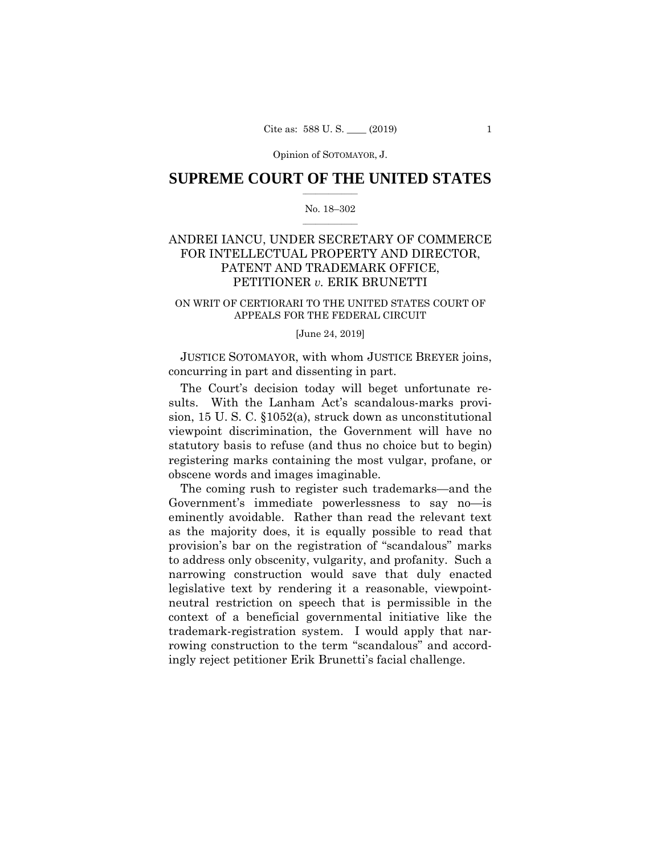## $\frac{1}{2}$  , where  $\frac{1}{2}$ **SUPREME COURT OF THE UNITED STATES**

#### $\frac{1}{2}$  ,  $\frac{1}{2}$  ,  $\frac{1}{2}$  ,  $\frac{1}{2}$  ,  $\frac{1}{2}$  ,  $\frac{1}{2}$ No. 18–302

# PATENT AND TRADEMARK OFFICE, ANDREI IANCU, UNDER SECRETARY OF COMMERCE FOR INTELLECTUAL PROPERTY AND DIRECTOR, PETITIONER *v.* ERIK BRUNETTI

# ON WRIT OF CERTIORARI TO THE UNITED STATES COURT OF APPEALS FOR THE FEDERAL CIRCUIT

#### [June 24, 2019]

JUSTICE SOTOMAYOR, with whom JUSTICE BREYER joins, concurring in part and dissenting in part.

The Court's decision today will beget unfortunate results. With the Lanham Act's scandalous-marks provision, 15 U. S. C. §1052(a), struck down as unconstitutional viewpoint discrimination, the Government will have no statutory basis to refuse (and thus no choice but to begin) registering marks containing the most vulgar, profane, or obscene words and images imaginable.

The coming rush to register such trademarks—and the Government's immediate powerlessness to say no—is eminently avoidable. Rather than read the relevant text as the majority does, it is equally possible to read that provision's bar on the registration of "scandalous" marks to address only obscenity, vulgarity, and profanity. Such a narrowing construction would save that duly enacted legislative text by rendering it a reasonable, viewpointneutral restriction on speech that is permissible in the context of a beneficial governmental initiative like the trademark-registration system. I would apply that narrowing construction to the term "scandalous" and accordingly reject petitioner Erik Brunetti's facial challenge.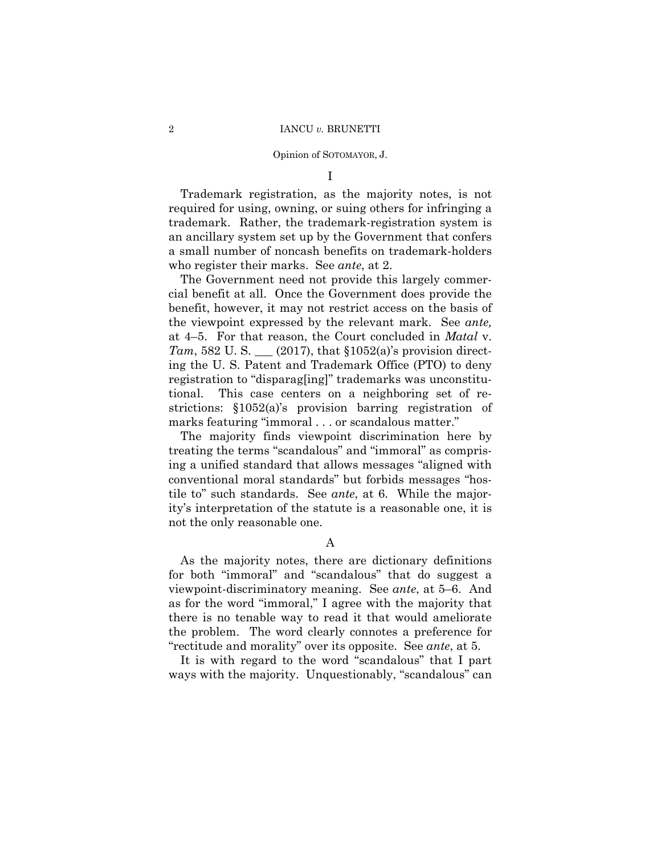I

Trademark registration, as the majority notes, is not required for using, owning, or suing others for infringing a trademark. Rather, the trademark-registration system is an ancillary system set up by the Government that confers a small number of noncash benefits on trademark-holders who register their marks. See *ante*, at 2.

The Government need not provide this largely commercial benefit at all. Once the Government does provide the benefit, however, it may not restrict access on the basis of the viewpoint expressed by the relevant mark. See *ante,*  at 4–5. For that reason, the Court concluded in *Matal* v. *Tam*, 582 U. S.  $\qquad (2017)$ , that §1052(a)'s provision directing the U. S. Patent and Trademark Office (PTO) to deny registration to "disparag[ing]" trademarks was unconstitutional. This case centers on a neighboring set of restrictions: §1052(a)'s provision barring registration of marks featuring "immoral . . . or scandalous matter."

 tile to" such standards. See *ante*, at 6. While the major-The majority finds viewpoint discrimination here by treating the terms "scandalous" and "immoral" as comprising a unified standard that allows messages "aligned with conventional moral standards" but forbids messages "hosity's interpretation of the statute is a reasonable one, it is not the only reasonable one.

A

As the majority notes, there are dictionary definitions for both "immoral" and "scandalous" that do suggest a viewpoint-discriminatory meaning. See *ante*, at 5–6. And as for the word "immoral," I agree with the majority that there is no tenable way to read it that would ameliorate the problem. The word clearly connotes a preference for "rectitude and morality" over its opposite. See *ante*, at 5.

It is with regard to the word "scandalous" that I part ways with the majority. Unquestionably, "scandalous" can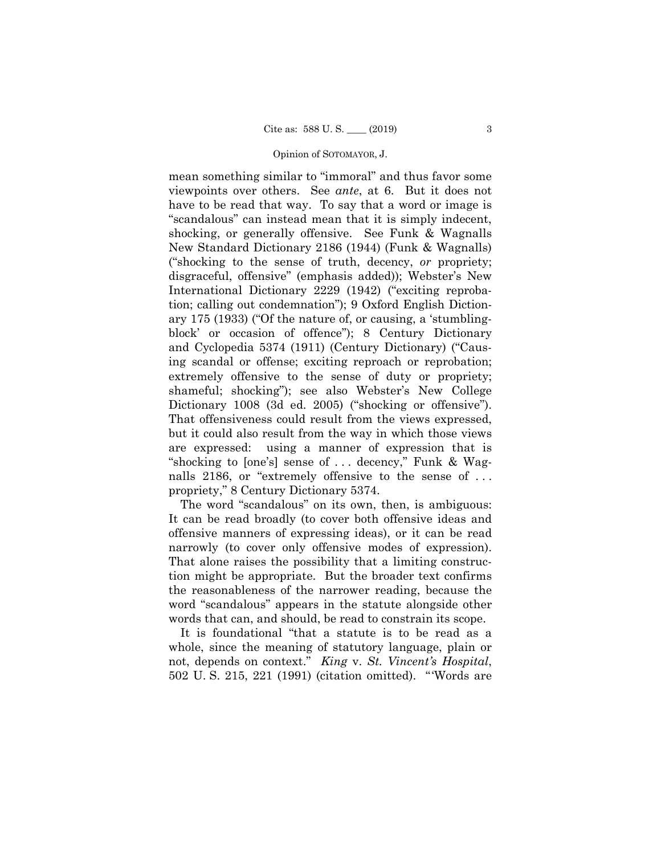nalls 2186, or "extremely offensive to the sense of . . . mean something similar to "immoral" and thus favor some viewpoints over others. See *ante*, at 6. But it does not have to be read that way. To say that a word or image is "scandalous" can instead mean that it is simply indecent, shocking, or generally offensive. See Funk & Wagnalls New Standard Dictionary 2186 (1944) (Funk & Wagnalls) ("shocking to the sense of truth, decency, *or* propriety; disgraceful, offensive" (emphasis added)); Webster's New International Dictionary 2229 (1942) ("exciting reprobation; calling out condemnation"); 9 Oxford English Dictionary 175 (1933) ("Of the nature of, or causing, a 'stumblingblock' or occasion of offence"); 8 Century Dictionary and Cyclopedia 5374 (1911) (Century Dictionary) ("Causing scandal or offense; exciting reproach or reprobation; extremely offensive to the sense of duty or propriety; shameful; shocking"); see also Webster's New College Dictionary 1008 (3d ed. 2005) ("shocking or offensive"). That offensiveness could result from the views expressed, but it could also result from the way in which those views are expressed: using a manner of expression that is "shocking to [one's] sense of . . . decency," Funk & Wagpropriety," 8 Century Dictionary 5374.

The word "scandalous" on its own, then, is ambiguous: It can be read broadly (to cover both offensive ideas and offensive manners of expressing ideas), or it can be read narrowly (to cover only offensive modes of expression). That alone raises the possibility that a limiting construction might be appropriate. But the broader text confirms the reasonableness of the narrower reading, because the word "scandalous" appears in the statute alongside other words that can, and should, be read to constrain its scope.

It is foundational "that a statute is to be read as a whole, since the meaning of statutory language, plain or not, depends on context." *King* v. *St. Vincent's Hospital*, 502 U. S. 215, 221 (1991) (citation omitted). "'Words are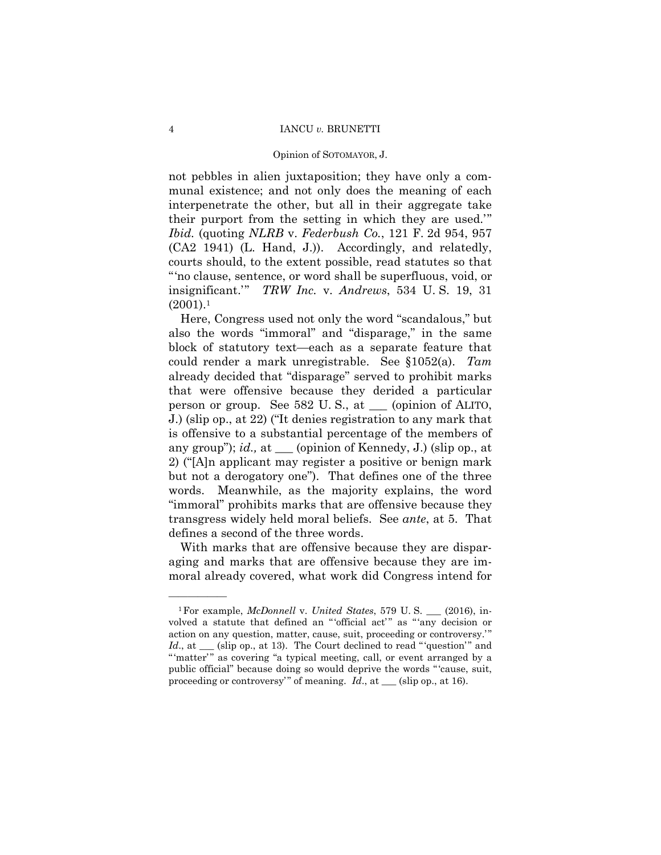not pebbles in alien juxtaposition; they have only a communal existence; and not only does the meaning of each interpenetrate the other, but all in their aggregate take their purport from the setting in which they are used.'" *Ibid.* (quoting *NLRB* v. *Federbush Co.*, 121 F. 2d 954, 957 (CA2 1941) (L. Hand, J.)). Accordingly, and relatedly, courts should, to the extent possible, read statutes so that "'no clause, sentence, or word shall be superfluous, void, or insignificant.'" *TRW Inc.* v. *Andrews*, 534 U. S. 19, 31  $(2001).1$ 

Here, Congress used not only the word "scandalous," but also the words "immoral" and "disparage," in the same block of statutory text—each as a separate feature that could render a mark unregistrable. See §1052(a). *Tam*  already decided that "disparage" served to prohibit marks that were offensive because they derided a particular person or group. See 582 U. S., at \_\_\_ (opinion of ALITO, J.) (slip op., at 22) ("It denies registration to any mark that is offensive to a substantial percentage of the members of any group"); *id.,* at \_\_\_ (opinion of Kennedy, J.) (slip op., at 2) ("[A]n applicant may register a positive or benign mark but not a derogatory one"). That defines one of the three words. Meanwhile, as the majority explains, the word "immoral" prohibits marks that are offensive because they transgress widely held moral beliefs. See *ante*, at 5. That defines a second of the three words.

With marks that are offensive because they are disparaging and marks that are offensive because they are immoral already covered, what work did Congress intend for

proceeding or controversy'" of meaning. *Id.*, at \_\_\_ (slip op., at 16). 1For example, *McDonnell* v. *United States*, 579 U. S. \_\_\_ (2016), involved a statute that defined an "'official act'" as "'any decision or action on any question, matter, cause, suit, proceeding or controversy.' " *Id.*, at \_\_\_ (slip op., at 13). The Court declined to read "'question'" and "'matter'" as covering "a typical meeting, call, or event arranged by a public official" because doing so would deprive the words " 'cause, suit,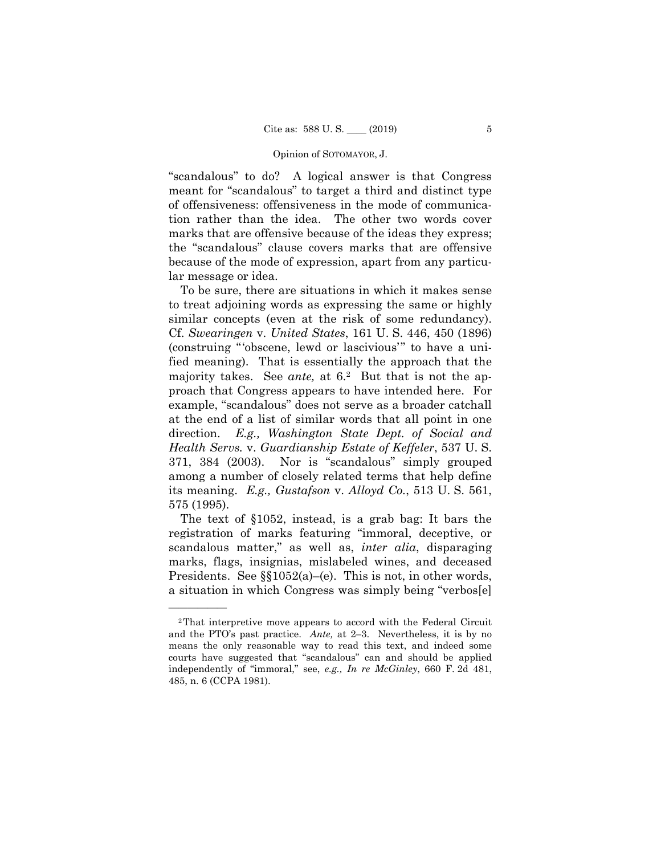"scandalous" to do? A logical answer is that Congress meant for "scandalous" to target a third and distinct type of offensiveness: offensiveness in the mode of communication rather than the idea. The other two words cover marks that are offensive because of the ideas they express; the "scandalous" clause covers marks that are offensive because of the mode of expression, apart from any particular message or idea.

 similar concepts (even at the risk of some redundancy). majority takes. See *ante,* at 6.2 But that is not the ap-To be sure, there are situations in which it makes sense to treat adjoining words as expressing the same or highly Cf. *Swearingen* v. *United States*, 161 U. S. 446, 450 (1896) (construing "'obscene, lewd or lascivious'" to have a unified meaning). That is essentially the approach that the proach that Congress appears to have intended here. For example, "scandalous" does not serve as a broader catchall at the end of a list of similar words that all point in one direction. *E.g., Washington State Dept. of Social and Health Servs.* v. *Guardianship Estate of Keffeler*, 537 U. S. 371, 384 (2003). Nor is "scandalous" simply grouped among a number of closely related terms that help define its meaning. *E.g., Gustafson* v. *Alloyd Co.*, 513 U. S. 561, 575 (1995).

The text of §1052, instead, is a grab bag: It bars the registration of marks featuring "immoral, deceptive, or scandalous matter," as well as, *inter alia*, disparaging marks, flags, insignias, mislabeled wines, and deceased Presidents. See §§1052(a)–(e). This is not, in other words, a situation in which Congress was simply being "verbos[e]

<sup>2</sup>That interpretive move appears to accord with the Federal Circuit and the PTO's past practice. *Ante,* at 2–3. Nevertheless, it is by no means the only reasonable way to read this text, and indeed some courts have suggested that "scandalous" can and should be applied independently of "immoral," see, *e.g., In re McGinley*, 660 F. 2d 481, 485, n. 6 (CCPA 1981).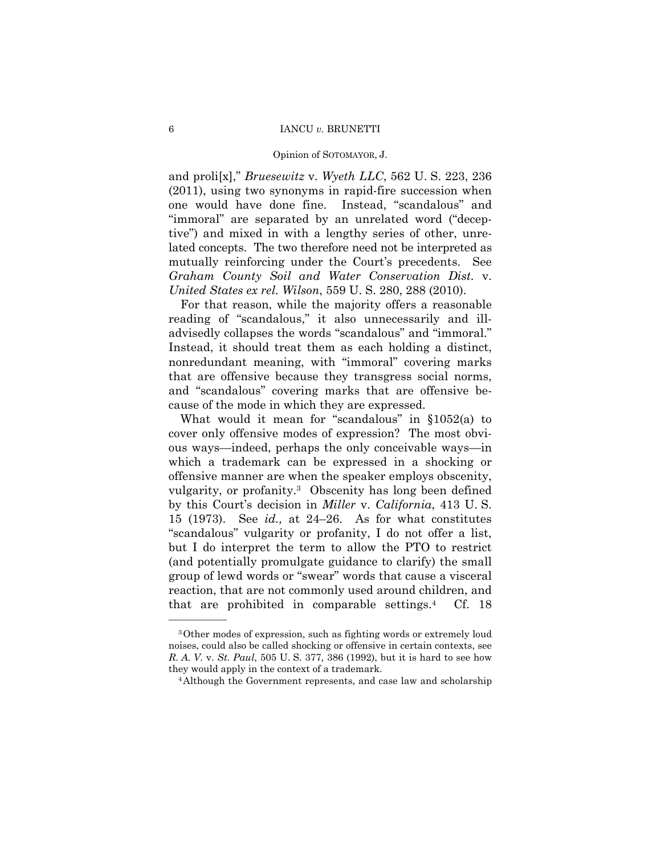# Opinion of SOTOMAYOR, J.

and proli[x]," *Bruesewitz* v. *Wyeth LLC*, 562 U. S. 223, 236 (2011), using two synonyms in rapid-fire succession when one would have done fine. Instead, "scandalous" and "immoral" are separated by an unrelated word ("deceptive") and mixed in with a lengthy series of other, unrelated concepts. The two therefore need not be interpreted as mutually reinforcing under the Court's precedents. See *Graham County Soil and Water Conservation Dist.* v. *United States ex rel. Wilson*, 559 U. S. 280, 288 (2010).

For that reason, while the majority offers a reasonable reading of "scandalous," it also unnecessarily and illadvisedly collapses the words "scandalous" and "immoral." Instead, it should treat them as each holding a distinct, nonredundant meaning, with "immoral" covering marks that are offensive because they transgress social norms, and "scandalous" covering marks that are offensive because of the mode in which they are expressed.

What would it mean for "scandalous" in §1052(a) to cover only offensive modes of expression? The most obvious ways—indeed, perhaps the only conceivable ways—in which a trademark can be expressed in a shocking or offensive manner are when the speaker employs obscenity, vulgarity, or profanity.3 Obscenity has long been defined by this Court's decision in *Miller* v. *California*, 413 U. S. 15 (1973). See *id.,* at 24–26. As for what constitutes "scandalous" vulgarity or profanity, I do not offer a list, but I do interpret the term to allow the PTO to restrict (and potentially promulgate guidance to clarify) the small group of lewd words or "swear" words that cause a visceral reaction, that are not commonly used around children, and that are prohibited in comparable settings.4 Cf. 18

<sup>3</sup>Other modes of expression, such as fighting words or extremely loud noises, could also be called shocking or offensive in certain contexts, see *R. A. V.* v. *St. Paul*, 505 U. S. 377, 386 (1992), but it is hard to see how they would apply in the context of a trademark. 4Although the Government represents, and case law and scholarship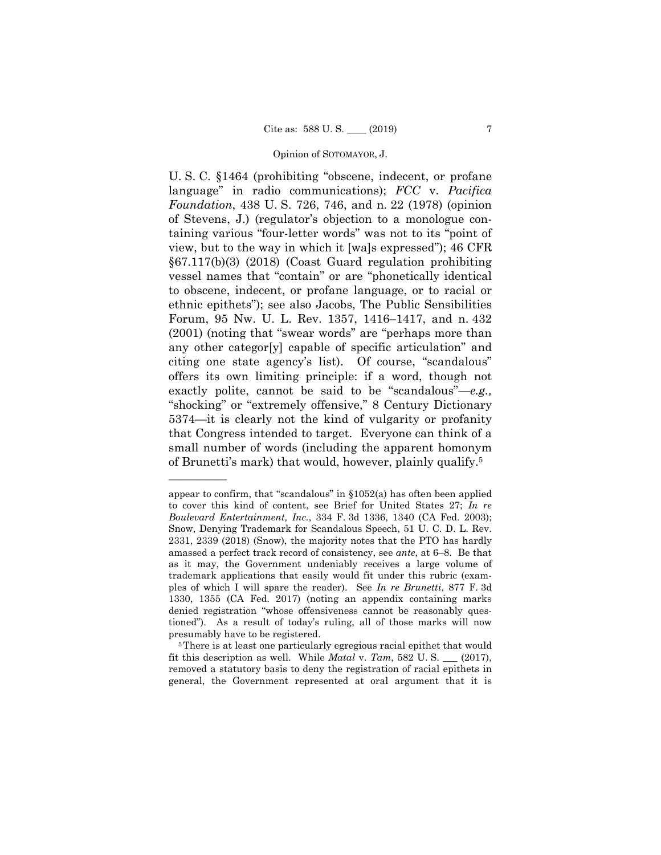U. S. C. §1464 (prohibiting "obscene, indecent, or profane language" in radio communications); *FCC* v. *Pacifica Foundation*, 438 U. S. 726, 746, and n. 22 (1978) (opinion of Stevens, J.) (regulator's objection to a monologue containing various "four-letter words" was not to its "point of view, but to the way in which it [wa]s expressed"); 46 CFR §67.117(b)(3) (2018) (Coast Guard regulation prohibiting vessel names that "contain" or are "phonetically identical to obscene, indecent, or profane language, or to racial or ethnic epithets"); see also Jacobs, The Public Sensibilities Forum, 95 Nw. U. L. Rev. 1357, 1416–1417, and n. 432 (2001) (noting that "swear words" are "perhaps more than any other categor[y] capable of specific articulation" and citing one state agency's list). Of course, "scandalous" offers its own limiting principle: if a word, though not exactly polite, cannot be said to be "scandalous"—*e.g.,*  "shocking" or "extremely offensive," 8 Century Dictionary 5374—it is clearly not the kind of vulgarity or profanity that Congress intended to target. Everyone can think of a small number of words (including the apparent homonym of Brunetti's mark) that would, however, plainly qualify.5

appear to confirm, that "scandalous" in §1052(a) has often been applied to cover this kind of content, see Brief for United States 27; *In re Boulevard Entertainment, Inc.*, 334 F. 3d 1336, 1340 (CA Fed. 2003); Snow, Denying Trademark for Scandalous Speech, 51 U. C. D. L. Rev. 2331, 2339 (2018) (Snow), the majority notes that the PTO has hardly amassed a perfect track record of consistency, see *ante*, at 6–8. Be that as it may, the Government undeniably receives a large volume of trademark applications that easily would fit under this rubric (examples of which I will spare the reader). See *In re Brunetti*, 877 F. 3d 1330, 1355 (CA Fed. 2017) (noting an appendix containing marks denied registration "whose offensiveness cannot be reasonably questioned"). As a result of today's ruling, all of those marks will now

presumably have to be registered.<br><sup>5</sup>There is at least one particularly egregious racial epithet that would fit this description as well. While *Matal* v. *Tam*, 582 U. S. \_\_\_ (2017), removed a statutory basis to deny the registration of racial epithets in general, the Government represented at oral argument that it is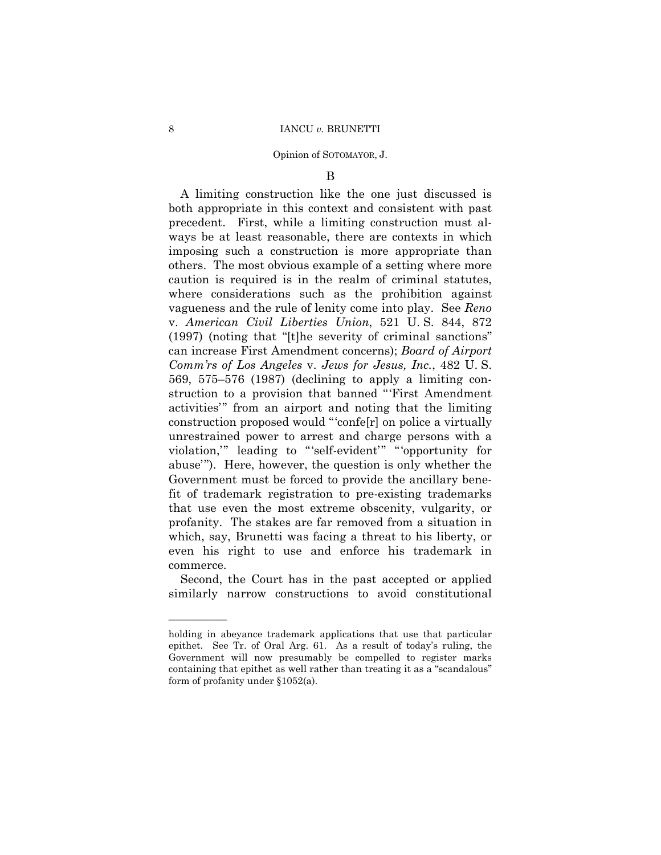B

 violation,'" leading to "'self-evident'" "'opportunity for even his right to use and enforce his trademark in commerce. A limiting construction like the one just discussed is both appropriate in this context and consistent with past precedent. First, while a limiting construction must always be at least reasonable, there are contexts in which imposing such a construction is more appropriate than others. The most obvious example of a setting where more caution is required is in the realm of criminal statutes, where considerations such as the prohibition against vagueness and the rule of lenity come into play. See *Reno*  v. *American Civil Liberties Union*, 521 U. S. 844, 872 (1997) (noting that "[t]he severity of criminal sanctions" can increase First Amendment concerns); *Board of Airport Comm'rs of Los Angeles* v. *Jews for Jesus, Inc.*, 482 U. S. 569, 575–576 (1987) (declining to apply a limiting construction to a provision that banned "'First Amendment activities'" from an airport and noting that the limiting construction proposed would "'confe[r] on police a virtually unrestrained power to arrest and charge persons with a abuse'"). Here, however, the question is only whether the Government must be forced to provide the ancillary benefit of trademark registration to pre-existing trademarks that use even the most extreme obscenity, vulgarity, or profanity. The stakes are far removed from a situation in which, say, Brunetti was facing a threat to his liberty, or

Second, the Court has in the past accepted or applied similarly narrow constructions to avoid constitutional

holding in abeyance trademark applications that use that particular epithet. See Tr. of Oral Arg. 61. As a result of today's ruling, the Government will now presumably be compelled to register marks containing that epithet as well rather than treating it as a "scandalous" form of profanity under §1052(a).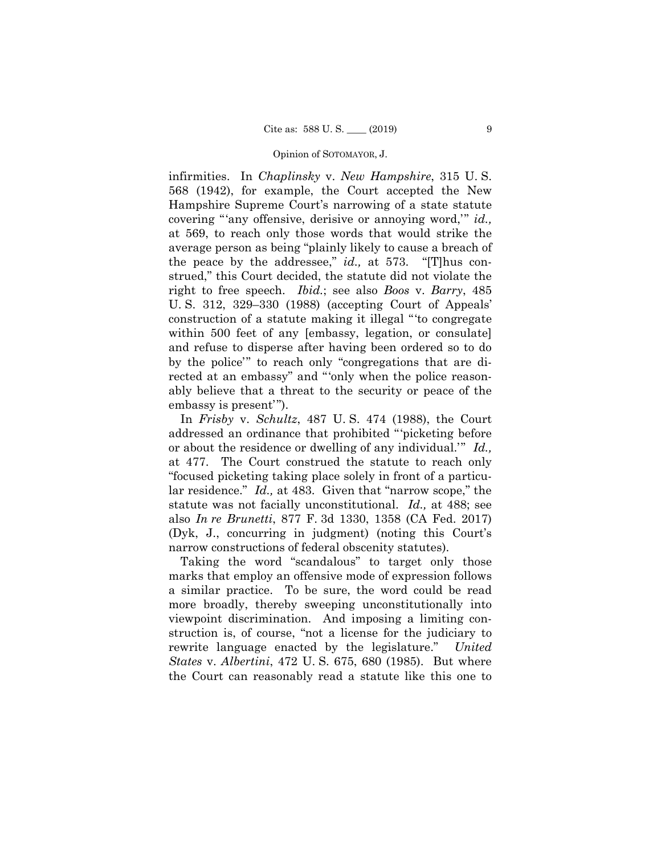infirmities. In *Chaplinsky* v. *New Hampshire*, 315 U. S. 568 (1942), for example, the Court accepted the New Hampshire Supreme Court's narrowing of a state statute covering "'any offensive, derisive or annoying word,'" *id.,*  at 569, to reach only those words that would strike the average person as being "plainly likely to cause a breach of the peace by the addressee," *id.,* at 573. "[T]hus construed," this Court decided, the statute did not violate the right to free speech. *Ibid.*; see also *Boos* v. *Barry*, 485 U. S. 312, 329–330 (1988) (accepting Court of Appeals' construction of a statute making it illegal "'to congregate within 500 feet of any [embassy, legation, or consulate] and refuse to disperse after having been ordered so to do by the police'" to reach only "congregations that are directed at an embassy" and "'only when the police reasonably believe that a threat to the security or peace of the embassy is present'").

In *Frisby* v. *Schultz*, 487 U. S. 474 (1988), the Court addressed an ordinance that prohibited "'picketing before or about the residence or dwelling of any individual.'" *Id.,*  at 477. The Court construed the statute to reach only "focused picketing taking place solely in front of a particular residence." *Id.,* at 483. Given that "narrow scope," the statute was not facially unconstitutional. *Id.,* at 488; see also *In re Brunetti*, 877 F. 3d 1330, 1358 (CA Fed. 2017) (Dyk, J., concurring in judgment) (noting this Court's narrow constructions of federal obscenity statutes).

Taking the word "scandalous" to target only those marks that employ an offensive mode of expression follows a similar practice. To be sure, the word could be read more broadly, thereby sweeping unconstitutionally into viewpoint discrimination. And imposing a limiting construction is, of course, "not a license for the judiciary to rewrite language enacted by the legislature." *United States* v. *Albertini*, 472 U. S. 675, 680 (1985). But where the Court can reasonably read a statute like this one to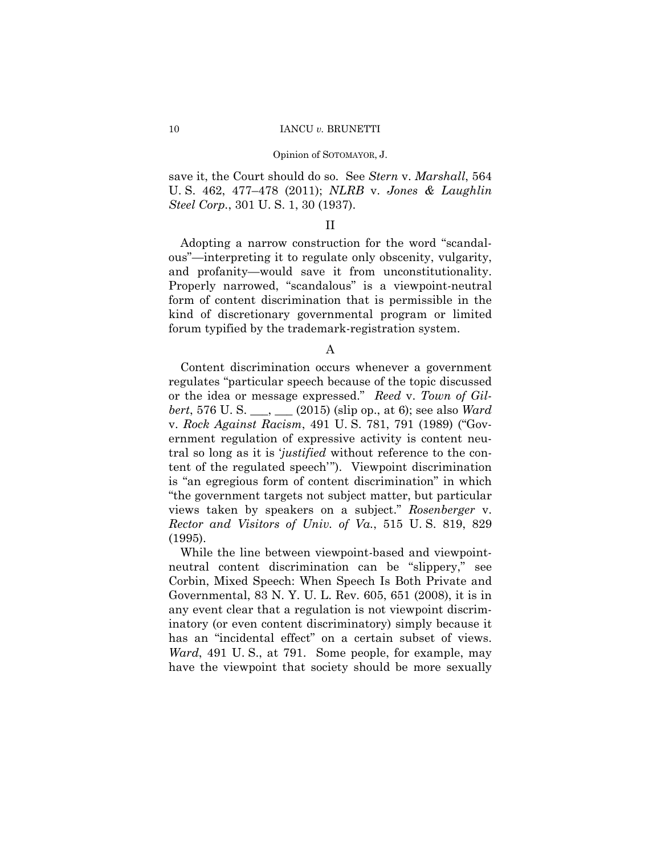save it, the Court should do so. See *Stern* v. *Marshall*, 564 U. S. 462, 477–478 (2011); *NLRB* v. *Jones & Laughlin Steel Corp.*, 301 U. S. 1, 30 (1937).

# II

Adopting a narrow construction for the word "scandalous"—interpreting it to regulate only obscenity, vulgarity, and profanity—would save it from unconstitutionality. Properly narrowed, "scandalous" is a viewpoint-neutral form of content discrimination that is permissible in the kind of discretionary governmental program or limited forum typified by the trademark-registration system.

A

Content discrimination occurs whenever a government regulates "particular speech because of the topic discussed or the idea or message expressed." *Reed* v. *Town of Gilbert*, 576 U. S. \_\_\_, \_\_\_ (2015) (slip op., at 6); see also *Ward*  v. *Rock Against Racism*, 491 U. S. 781, 791 (1989) ("Government regulation of expressive activity is content neutral so long as it is '*justified* without reference to the content of the regulated speech'"). Viewpoint discrimination is "an egregious form of content discrimination" in which "the government targets not subject matter, but particular views taken by speakers on a subject." *Rosenberger* v. *Rector and Visitors of Univ. of Va.*, 515 U. S. 819, 829 (1995).

While the line between viewpoint-based and viewpointneutral content discrimination can be "slippery," see Corbin, Mixed Speech: When Speech Is Both Private and Governmental, 83 N. Y. U. L. Rev. 605, 651 (2008), it is in any event clear that a regulation is not viewpoint discriminatory (or even content discriminatory) simply because it has an "incidental effect" on a certain subset of views. *Ward*, 491 U.S., at 791. Some people, for example, may have the viewpoint that society should be more sexually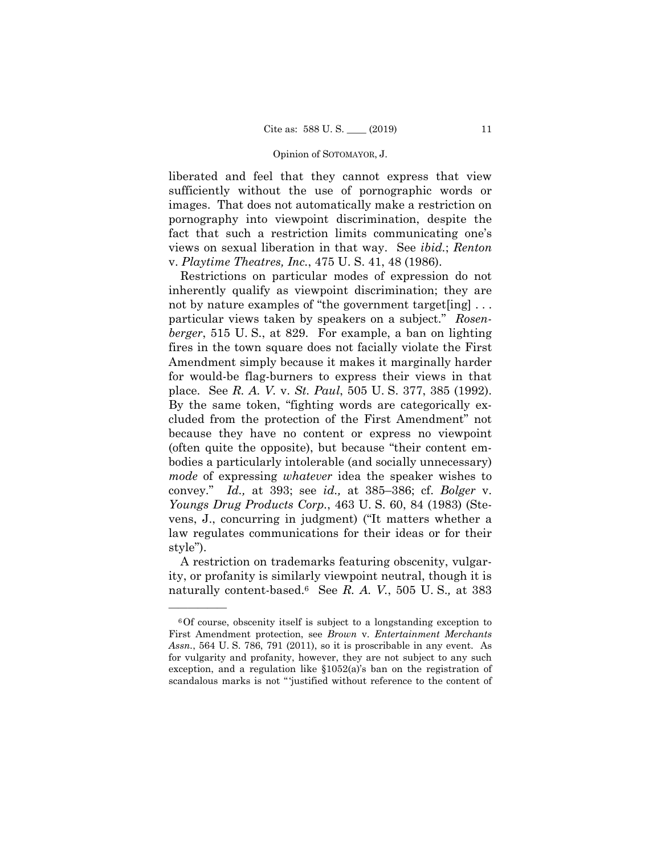liberated and feel that they cannot express that view sufficiently without the use of pornographic words or images. That does not automatically make a restriction on pornography into viewpoint discrimination, despite the fact that such a restriction limits communicating one's views on sexual liberation in that way. See *ibid.*; *Renton*  v. *Playtime Theatres, Inc.*, 475 U. S. 41, 48 (1986).

 place. See *R. A. V.* v. *St. Paul*, 505 U. S. 377, 385 (1992). Restrictions on particular modes of expression do not inherently qualify as viewpoint discrimination; they are not by nature examples of "the government target [ing]... particular views taken by speakers on a subject." *Rosenberger*, 515 U. S., at 829. For example, a ban on lighting fires in the town square does not facially violate the First Amendment simply because it makes it marginally harder for would-be flag-burners to express their views in that By the same token, "fighting words are categorically excluded from the protection of the First Amendment" not because they have no content or express no viewpoint (often quite the opposite), but because "their content embodies a particularly intolerable (and socially unnecessary) *mode* of expressing *whatever* idea the speaker wishes to convey." *Id.,* at 393; see *id.,* at 385–386; cf. *Bolger* v. *Youngs Drug Products Corp.*, 463 U. S. 60, 84 (1983) (Stevens, J., concurring in judgment) ("It matters whether a law regulates communications for their ideas or for their style").

A restriction on trademarks featuring obscenity, vulgarity, or profanity is similarly viewpoint neutral, though it is naturally content-based.6 See *R. A. V.*, 505 U. S.*,* at 383

<sup>6</sup>Of course, obscenity itself is subject to a longstanding exception to First Amendment protection, see *Brown* v. *Entertainment Merchants Assn.*, 564 U. S. 786, 791 (2011), so it is proscribable in any event. As for vulgarity and profanity, however, they are not subject to any such exception, and a regulation like §1052(a)'s ban on the registration of scandalous marks is not " 'justified without reference to the content of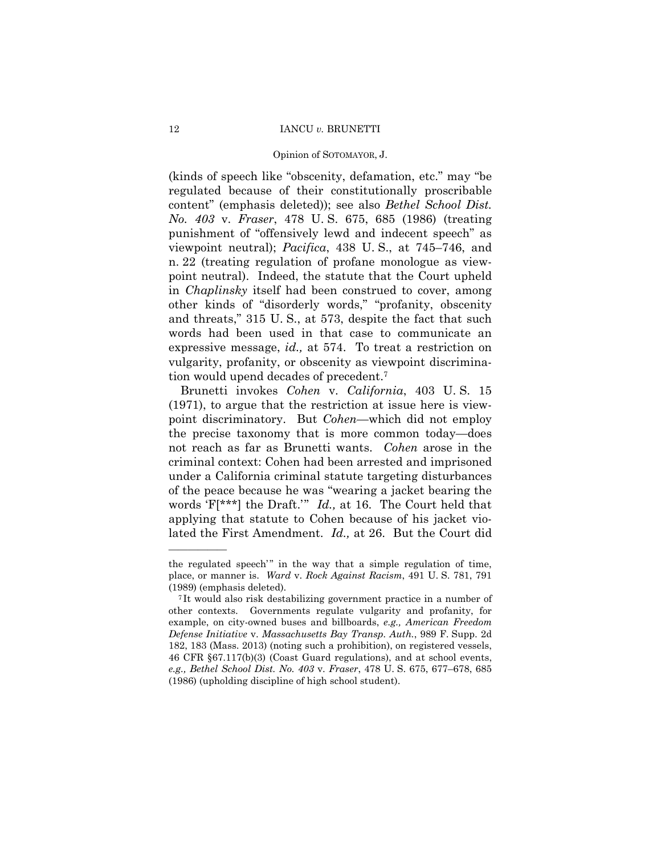#### Opinion of SOTOMAYOR, J.

(kinds of speech like "obscenity, defamation, etc." may "be regulated because of their constitutionally proscribable content" (emphasis deleted)); see also *Bethel School Dist. No. 403* v. *Fraser*, 478 U. S. 675, 685 (1986) (treating punishment of "offensively lewd and indecent speech" as viewpoint neutral); *Pacifica*, 438 U. S., at 745–746, and n. 22 (treating regulation of profane monologue as viewpoint neutral). Indeed, the statute that the Court upheld in *Chaplinsky* itself had been construed to cover, among other kinds of "disorderly words," "profanity, obscenity and threats," 315 U. S., at 573, despite the fact that such words had been used in that case to communicate an expressive message, *id.,* at 574. To treat a restriction on vulgarity, profanity, or obscenity as viewpoint discrimination would upend decades of precedent.7

 Brunetti invokes *Cohen* v. *California*, 403 U. S. 15 (1971), to argue that the restriction at issue here is viewpoint discriminatory. But *Cohen*—which did not employ the precise taxonomy that is more common today—does not reach as far as Brunetti wants. *Cohen* arose in the criminal context: Cohen had been arrested and imprisoned under a California criminal statute targeting disturbances of the peace because he was "wearing a jacket bearing the words 'F[\*\*\*] the Draft.'" *Id.,* at 16. The Court held that applying that statute to Cohen because of his jacket violated the First Amendment. *Id.,* at 26. But the Court did

the regulated speech'" in the way that a simple regulation of time, place, or manner is. *Ward* v. *Rock Against Racism*, 491 U. S. 781, 791 (1989) (emphasis deleted). 7 It would also risk destabilizing government practice in a number of

other contexts. Governments regulate vulgarity and profanity, for example, on city-owned buses and billboards, *e.g., American Freedom Defense Initiative* v. *Massachusetts Bay Transp. Auth.*, 989 F. Supp. 2d 182, 183 (Mass. 2013) (noting such a prohibition), on registered vessels, 46 CFR §67.117(b)(3) (Coast Guard regulations), and at school events, *e.g., Bethel School Dist. No. 403* v. *Fraser*, 478 U. S. 675, 677–678, 685 (1986) (upholding discipline of high school student).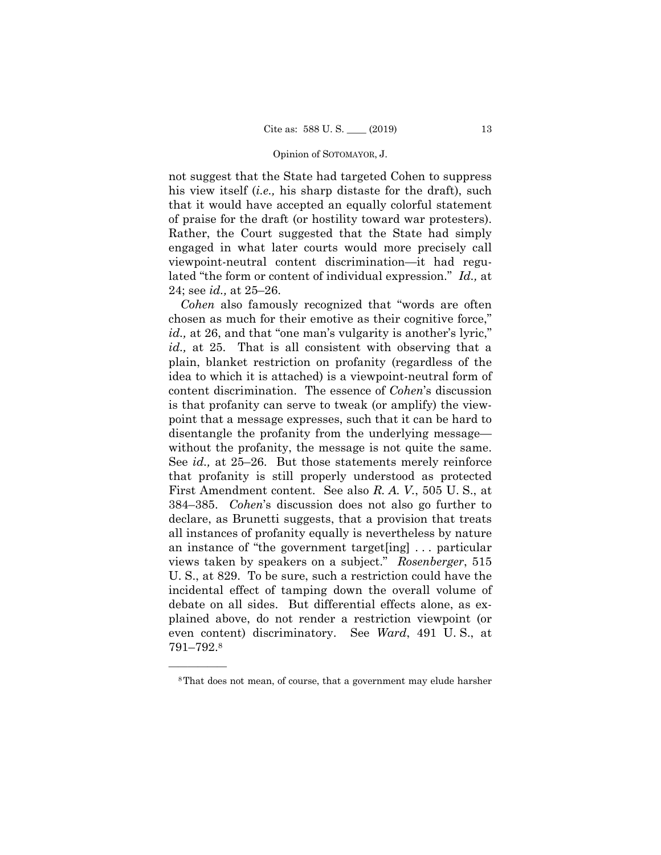not suggest that the State had targeted Cohen to suppress his view itself (*i.e.,* his sharp distaste for the draft), such that it would have accepted an equally colorful statement of praise for the draft (or hostility toward war protesters). Rather, the Court suggested that the State had simply engaged in what later courts would more precisely call viewpoint-neutral content discrimination—it had regulated "the form or content of individual expression." *Id.,* at 24; see *id.,* at 25–26.

 without the profanity, the message is not quite the same. debate on all sides. But differential effects alone, as ex-*Cohen* also famously recognized that "words are often chosen as much for their emotive as their cognitive force," *id.,* at 26, and that "one man's vulgarity is another's lyric," *id.,* at 25. That is all consistent with observing that a plain, blanket restriction on profanity (regardless of the idea to which it is attached) is a viewpoint-neutral form of content discrimination. The essence of *Cohen*'s discussion is that profanity can serve to tweak (or amplify) the viewpoint that a message expresses, such that it can be hard to disentangle the profanity from the underlying message— See *id.,* at 25–26. But those statements merely reinforce that profanity is still properly understood as protected First Amendment content. See also *R. A. V.*, 505 U. S., at 384–385. *Cohen*'s discussion does not also go further to declare, as Brunetti suggests, that a provision that treats all instances of profanity equally is nevertheless by nature an instance of "the government target[ing] . . . particular views taken by speakers on a subject." *Rosenberger*, 515 U. S., at 829. To be sure, such a restriction could have the incidental effect of tamping down the overall volume of plained above, do not render a restriction viewpoint (or even content) discriminatory. See *Ward*, 491 U. S., at 791–792.8

<sup>8</sup>That does not mean, of course, that a government may elude harsher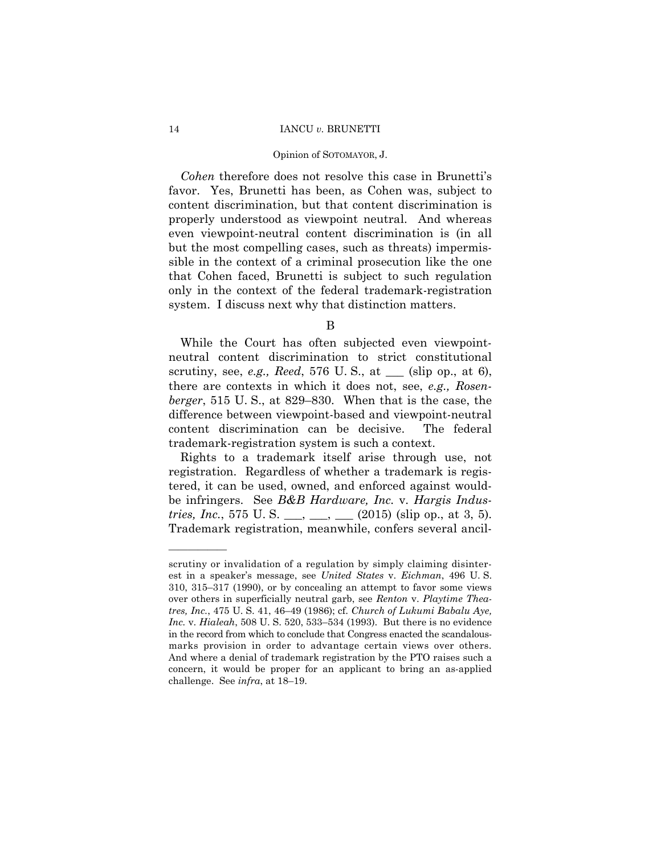#### Opinion of SOTOMAYOR, J.

*Cohen* therefore does not resolve this case in Brunetti's favor. Yes, Brunetti has been, as Cohen was, subject to content discrimination, but that content discrimination is properly understood as viewpoint neutral. And whereas even viewpoint-neutral content discrimination is (in all but the most compelling cases, such as threats) impermissible in the context of a criminal prosecution like the one that Cohen faced, Brunetti is subject to such regulation only in the context of the federal trademark-registration system. I discuss next why that distinction matters.

B

While the Court has often subjected even viewpointneutral content discrimination to strict constitutional scrutiny, see, *e.g., Reed*, 576 U. S., at \_\_\_ (slip op., at 6), there are contexts in which it does not, see, *e.g., Rosenberger*, 515 U. S., at 829–830. When that is the case, the difference between viewpoint-based and viewpoint-neutral content discrimination can be decisive. The federal trademark-registration system is such a context.

Rights to a trademark itself arise through use, not registration. Regardless of whether a trademark is registered, it can be used, owned, and enforced against wouldbe infringers. See *B&B Hardware, Inc.* v. *Hargis Industries, Inc.*, 575 U. S. \_\_\_, \_\_\_, \_\_\_(2015) (slip op., at 3, 5). Trademark registration, meanwhile, confers several ancil-

scrutiny or invalidation of a regulation by simply claiming disinterest in a speaker's message, see *United States* v. *Eichman*, 496 U. S. 310, 315–317 (1990), or by concealing an attempt to favor some views over others in superficially neutral garb, see *Renton* v. *Playtime Theatres, Inc.*, 475 U. S. 41, 46–49 (1986); cf. *Church of Lukumi Babalu Aye, Inc.* v. *Hialeah*, 508 U. S. 520, 533–534 (1993). But there is no evidence in the record from which to conclude that Congress enacted the scandalousmarks provision in order to advantage certain views over others. And where a denial of trademark registration by the PTO raises such a concern, it would be proper for an applicant to bring an as-applied challenge. See *infra*, at 18–19.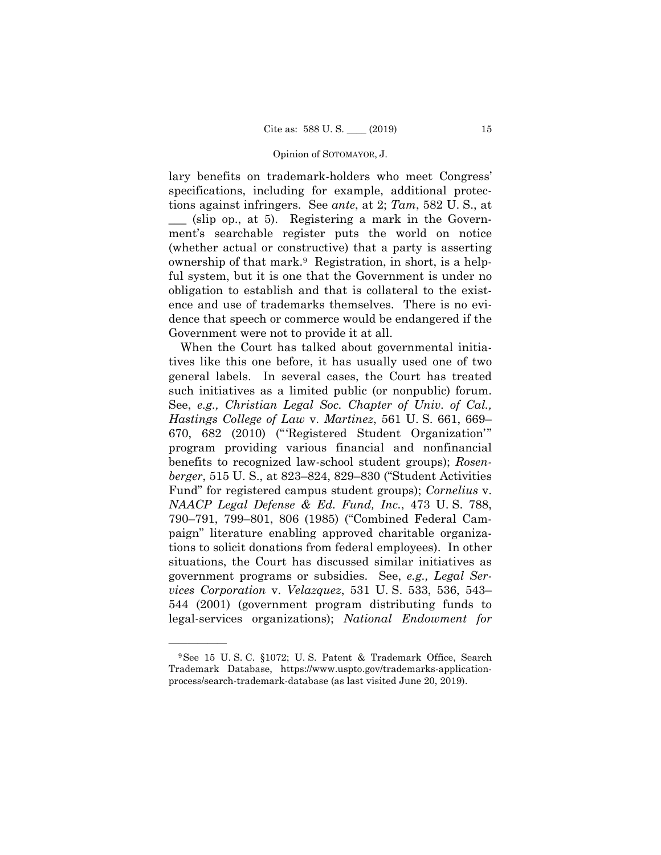lary benefits on trademark-holders who meet Congress' specifications, including for example, additional protections against infringers. See *ante*, at 2; *Tam*, 582 U. S., at \_\_\_ (slip op., at 5). Registering a mark in the Government's searchable register puts the world on notice (whether actual or constructive) that a party is asserting ownership of that mark.9 Registration, in short, is a helpful system, but it is one that the Government is under no obligation to establish and that is collateral to the existence and use of trademarks themselves. There is no evidence that speech or commerce would be endangered if the Government were not to provide it at all.

When the Court has talked about governmental initiatives like this one before, it has usually used one of two general labels. In several cases, the Court has treated such initiatives as a limited public (or nonpublic) forum. See, *e.g., Christian Legal Soc. Chapter of Univ. of Cal., Hastings College of Law* v. *Martinez*, 561 U. S. 661, 669– 670, 682 (2010) ("'Registered Student Organization'" program providing various financial and nonfinancial benefits to recognized law-school student groups); *Rosenberger*, 515 U. S., at 823–824, 829–830 ("Student Activities Fund" for registered campus student groups); *Cornelius* v. *NAACP Legal Defense & Ed. Fund, Inc.*, 473 U. S. 788, 790–791, 799–801, 806 (1985) ("Combined Federal Campaign" literature enabling approved charitable organizations to solicit donations from federal employees). In other situations, the Court has discussed similar initiatives as government programs or subsidies. See, *e.g., Legal Services Corporation* v. *Velazquez*, 531 U. S. 533, 536, 543– 544 (2001) (government program distributing funds to legal-services organizations); *National Endowment for* 

<sup>9</sup>See 15 U. S. C. §1072; U. S. Patent & Trademark Office, Search Trademark Database, <https://www.uspto.gov/trademarks-application>process/search-trademark-database (as last visited June 20, 2019).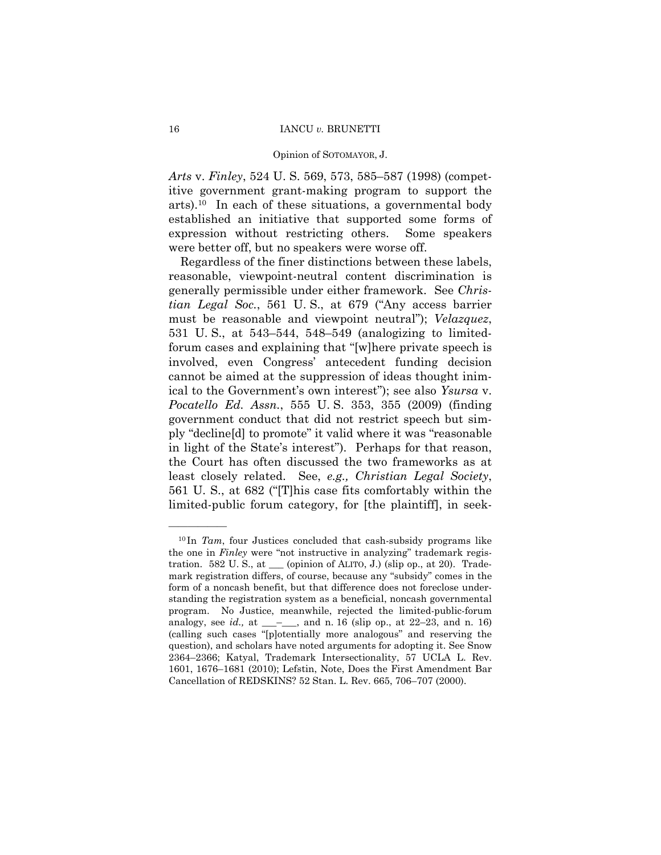#### Opinion of SOTOMAYOR, J.

*Arts* v. *Finley*, 524 U. S. 569, 573, 585–587 (1998) (competitive government grant-making program to support the [arts\).10](https://arts).10) In each of these situations, a governmental body established an initiative that supported some forms of expression without restricting others. Some speakers were better off, but no speakers were worse off.

 ply "decline[d] to promote" it valid where it was "reasonable Regardless of the finer distinctions between these labels, reasonable, viewpoint-neutral content discrimination is generally permissible under either framework. See *Christian Legal Soc.*, 561 U. S., at 679 ("Any access barrier must be reasonable and viewpoint neutral"); *Velazquez*, 531 U. S., at 543–544, 548–549 (analogizing to limitedforum cases and explaining that "[w]here private speech is involved, even Congress' antecedent funding decision cannot be aimed at the suppression of ideas thought inimical to the Government's own interest"); see also *Ysursa* v. *Pocatello Ed. Assn.*, 555 U. S. 353, 355 (2009) (finding government conduct that did not restrict speech but simin light of the State's interest"). Perhaps for that reason, the Court has often discussed the two frameworks as at least closely related. See, *e.g., Christian Legal Society*, 561 U. S., at 682 ("[T]his case fits comfortably within the limited-public forum category, for [the plaintiff], in seek-

<sup>10</sup> In *Tam*, four Justices concluded that cash-subsidy programs like the one in *Finley* were "not instructive in analyzing" trademark registration. 582 U. S., at \_\_\_ (opinion of ALITO, J.) (slip op., at 20). Trademark registration differs, of course, because any "subsidy" comes in the form of a noncash benefit, but that difference does not foreclose understanding the registration system as a beneficial, noncash governmental program. No Justice, meanwhile, rejected the limited-public-forum analogy, see *id.*, at \_\_-\_\_, and n. 16 (slip op., at 22-23, and n. 16) (calling such cases "[p]otentially more analogous" and reserving the question), and scholars have noted arguments for adopting it. See Snow 2364–2366; Katyal, Trademark Intersectionality, 57 UCLA L. Rev. 1601, 1676–1681 (2010); Lefstin, Note, Does the First Amendment Bar Cancellation of REDSKINS? 52 Stan. L. Rev. 665, 706–707 (2000).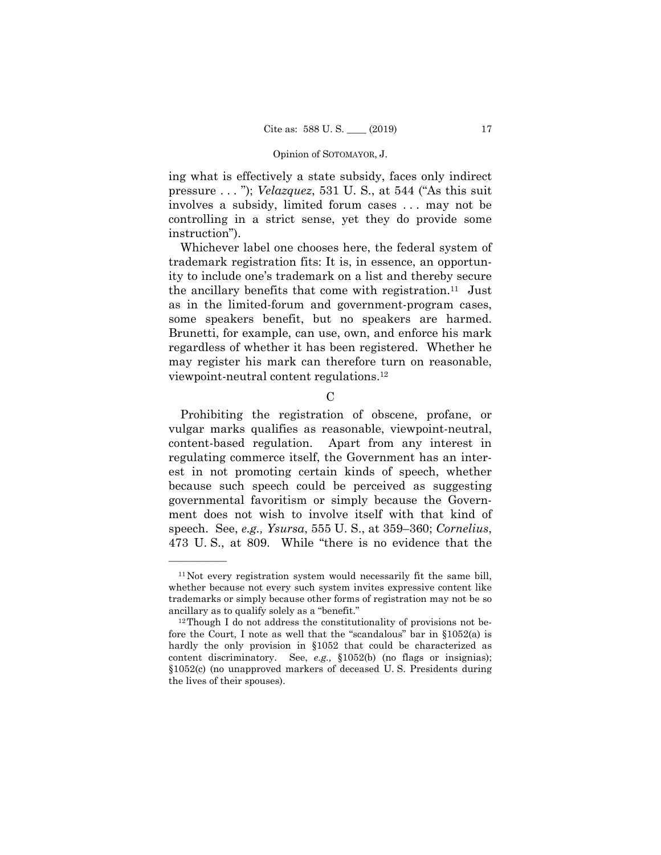ing what is effectively a state subsidy, faces only indirect pressure . . . "); *Velazquez*, 531 U. S., at 544 ("As this suit involves a subsidy, limited forum cases . . . may not be controlling in a strict sense, yet they do provide some instruction").

Whichever label one chooses here, the federal system of trademark registration fits: It is, in essence, an opportunity to include one's trademark on a list and thereby secure the ancillary benefits that come with [registration.11](https://registration.11) Just as in the limited-forum and government-program cases, some speakers benefit, but no speakers are harmed. Brunetti, for example, can use, own, and enforce his mark regardless of whether it has been registered. Whether he may register his mark can therefore turn on reasonable, viewpoint-neutral content [regulations.12](https://regulations.12) 

 $\mathcal{C}$ 

Prohibiting the registration of obscene, profane, or vulgar marks qualifies as reasonable, viewpoint-neutral, content-based regulation. Apart from any interest in regulating commerce itself, the Government has an interest in not promoting certain kinds of speech, whether because such speech could be perceived as suggesting governmental favoritism or simply because the Government does not wish to involve itself with that kind of speech. See, *e.g., Ysursa*, 555 U. S., at 359–360; *Cornelius*, 473 U. S., at 809. While "there is no evidence that the

 trademarks or simply because other forms of registration may not be so  $11$ Not every registration system would necessarily fit the same bill, whether because not every such system invites expressive content like ancillary as to qualify solely as a "benefit."<br><sup>12</sup>Though I do not address the constitutionality of provisions not be-

fore the Court, I note as well that the "scandalous" bar in §1052(a) is hardly the only provision in §1052 that could be characterized as content discriminatory. See, *e.g.,* §1052(b) (no flags or insignias); §1052(c) (no unapproved markers of deceased U. S. Presidents during the lives of their spouses).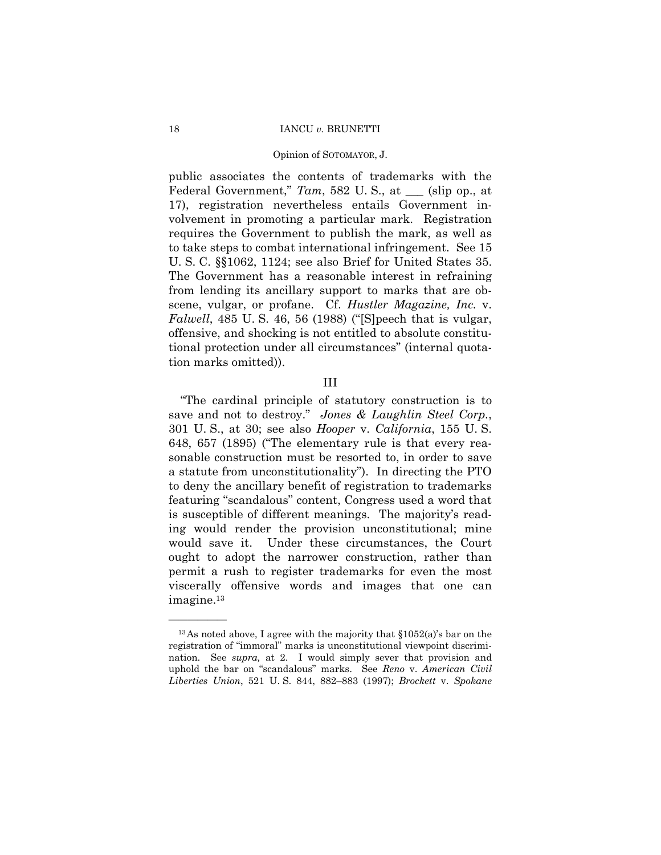#### Opinion of SOTOMAYOR, J.

 U. S. C. §§1062, 1124; see also Brief for United States 35. public associates the contents of trademarks with the Federal Government," *Tam*, 582 U. S., at \_\_\_ (slip op., at 17), registration nevertheless entails Government involvement in promoting a particular mark. Registration requires the Government to publish the mark, as well as to take steps to combat international infringement. See 15 The Government has a reasonable interest in refraining from lending its ancillary support to marks that are obscene, vulgar, or profane. Cf. *Hustler Magazine, Inc.* v. *Falwell*, 485 U. S. 46, 56 (1988) ("[S]peech that is vulgar, offensive, and shocking is not entitled to absolute constitutional protection under all circumstances" (internal quotation marks omitted)).

# III

"The cardinal principle of statutory construction is to save and not to destroy." *Jones & Laughlin Steel Corp.*, 301 U. S., at 30; see also *Hooper* v. *California*, 155 U. S. 648, 657 (1895) ("The elementary rule is that every reasonable construction must be resorted to, in order to save a statute from unconstitutionality"). In directing the PTO to deny the ancillary benefit of registration to trademarks featuring "scandalous" content, Congress used a word that is susceptible of different meanings. The majority's reading would render the provision unconstitutional; mine would save it. Under these circumstances, the Court ought to adopt the narrower construction, rather than permit a rush to register trademarks for even the most viscerally offensive words and images that one can imagine.<sup>13</sup>

<sup>&</sup>lt;sup>13</sup>As noted above, I agree with the majority that  $$1052(a)$'s bar on the$ registration of "immoral" marks is unconstitutional viewpoint discrimination. See *supra,* at 2. I would simply sever that provision and uphold the bar on "scandalous" marks. See *Reno* v. *American Civil Liberties Union*, 521 U. S. 844, 882–883 (1997); *Brockett* v. *Spokane*